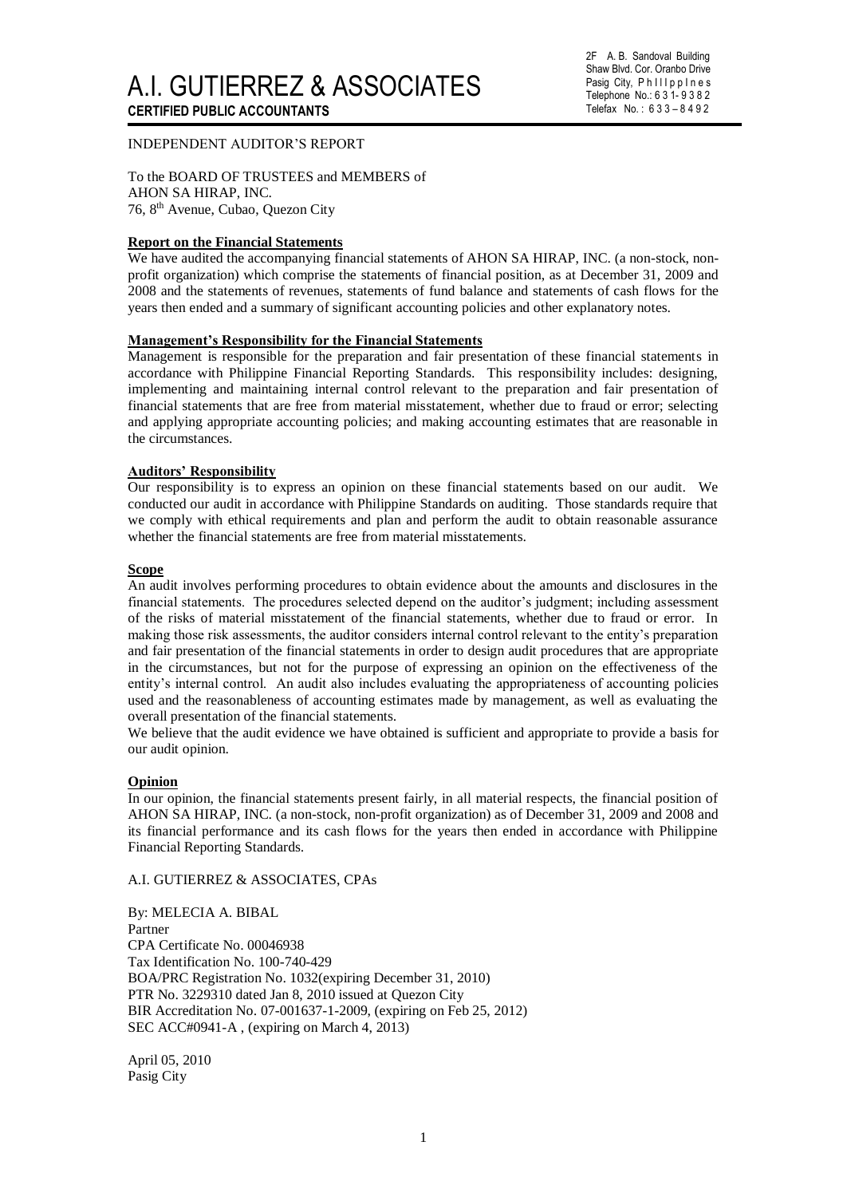#### INDEPENDENT AUDITOR'S REPORT

To the BOARD OF TRUSTEES and MEMBERS of AHON SA HIRAP, INC. 76, 8th Avenue, Cubao, Quezon City

### **Report on the Financial Statements**

We have audited the accompanying financial statements of AHON SA HIRAP, INC. (a non-stock, nonprofit organization) which comprise the statements of financial position, as at December 31, 2009 and 2008 and the statements of revenues, statements of fund balance and statements of cash flows for the years then ended and a summary of significant accounting policies and other explanatory notes.

#### **Management's Responsibility for the Financial Statements**

Management is responsible for the preparation and fair presentation of these financial statements in accordance with Philippine Financial Reporting Standards. This responsibility includes: designing, implementing and maintaining internal control relevant to the preparation and fair presentation of financial statements that are free from material misstatement, whether due to fraud or error; selecting and applying appropriate accounting policies; and making accounting estimates that are reasonable in the circumstances.

## **Auditors' Responsibility**

Our responsibility is to express an opinion on these financial statements based on our audit. We conducted our audit in accordance with Philippine Standards on auditing. Those standards require that we comply with ethical requirements and plan and perform the audit to obtain reasonable assurance whether the financial statements are free from material misstatements.

#### **Scope**

An audit involves performing procedures to obtain evidence about the amounts and disclosures in the financial statements. The procedures selected depend on the auditor's judgment; including assessment of the risks of material misstatement of the financial statements, whether due to fraud or error. In making those risk assessments, the auditor considers internal control relevant to the entity's preparation and fair presentation of the financial statements in order to design audit procedures that are appropriate in the circumstances, but not for the purpose of expressing an opinion on the effectiveness of the entity's internal control. An audit also includes evaluating the appropriateness of accounting policies used and the reasonableness of accounting estimates made by management, as well as evaluating the overall presentation of the financial statements.

We believe that the audit evidence we have obtained is sufficient and appropriate to provide a basis for our audit opinion.

#### **Opinion**

In our opinion, the financial statements present fairly, in all material respects, the financial position of AHON SA HIRAP, INC. (a non-stock, non-profit organization) as of December 31, 2009 and 2008 and its financial performance and its cash flows for the years then ended in accordance with Philippine Financial Reporting Standards.

A.I. GUTIERREZ & ASSOCIATES, CPAs

By: MELECIA A. BIBAL Partner CPA Certificate No. 00046938 Tax Identification No. 100-740-429 BOA/PRC Registration No. 1032(expiring December 31, 2010) PTR No. 3229310 dated Jan 8, 2010 issued at Quezon City BIR Accreditation No. 07-001637-1-2009, (expiring on Feb 25, 2012) SEC ACC#0941-A , (expiring on March 4, 2013)

April 05, 2010 Pasig City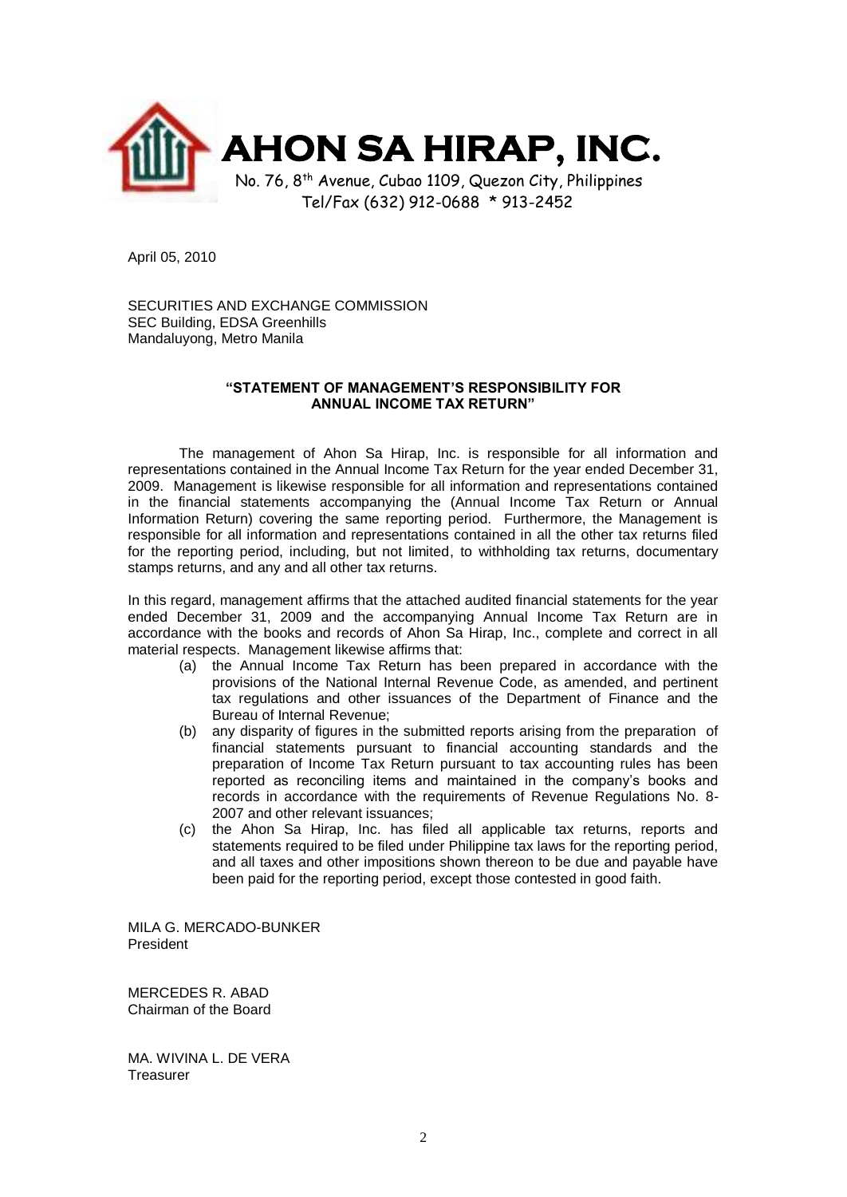

April 05, 2010

SECURITIES AND EXCHANGE COMMISSION SEC Building, EDSA Greenhills Mandaluyong, Metro Manila

### **"STATEMENT OF MANAGEMENT'S RESPONSIBILITY FOR ANNUAL INCOME TAX RETURN"**

The management of Ahon Sa Hirap, Inc. is responsible for all information and representations contained in the Annual Income Tax Return for the year ended December 31, 2009. Management is likewise responsible for all information and representations contained in the financial statements accompanying the (Annual Income Tax Return or Annual Information Return) covering the same reporting period. Furthermore, the Management is responsible for all information and representations contained in all the other tax returns filed for the reporting period, including, but not limited, to withholding tax returns, documentary stamps returns, and any and all other tax returns.

In this regard, management affirms that the attached audited financial statements for the year ended December 31, 2009 and the accompanying Annual Income Tax Return are in accordance with the books and records of Ahon Sa Hirap, Inc., complete and correct in all material respects. Management likewise affirms that:

- (a) the Annual Income Tax Return has been prepared in accordance with the provisions of the National Internal Revenue Code, as amended, and pertinent tax regulations and other issuances of the Department of Finance and the Bureau of Internal Revenue;
- (b) any disparity of figures in the submitted reports arising from the preparation of financial statements pursuant to financial accounting standards and the preparation of Income Tax Return pursuant to tax accounting rules has been reported as reconciling items and maintained in the company's books and records in accordance with the requirements of Revenue Regulations No. 8- 2007 and other relevant issuances;
- (c) the Ahon Sa Hirap, Inc. has filed all applicable tax returns, reports and statements required to be filed under Philippine tax laws for the reporting period, and all taxes and other impositions shown thereon to be due and payable have been paid for the reporting period, except those contested in good faith.

MILA G. MERCADO-BUNKER President

MERCEDES R. ABAD Chairman of the Board

MA. WIVINA L. DE VERA **Treasurer**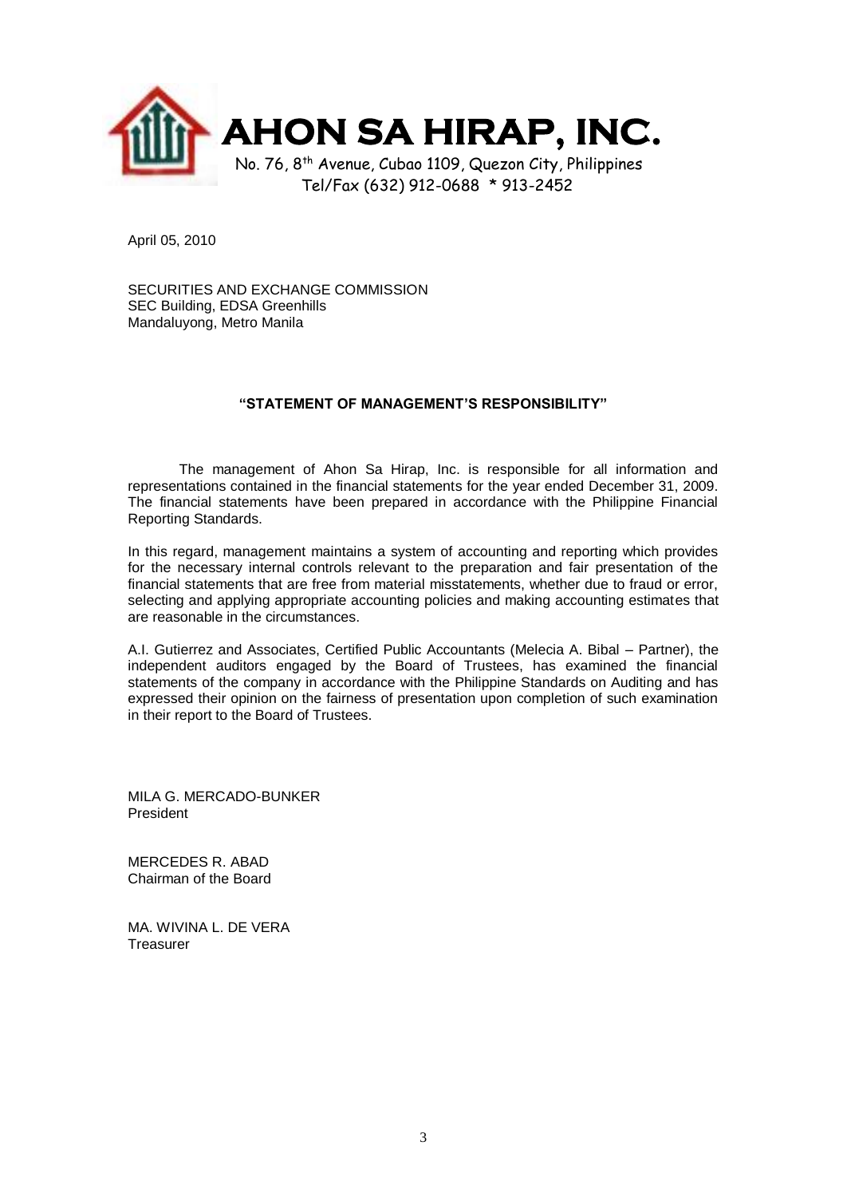

April 05, 2010

SECURITIES AND EXCHANGE COMMISSION SEC Building, EDSA Greenhills Mandaluyong, Metro Manila

### **"STATEMENT OF MANAGEMENT'S RESPONSIBILITY"**

The management of Ahon Sa Hirap, Inc. is responsible for all information and representations contained in the financial statements for the year ended December 31, 2009. The financial statements have been prepared in accordance with the Philippine Financial Reporting Standards.

In this regard, management maintains a system of accounting and reporting which provides for the necessary internal controls relevant to the preparation and fair presentation of the financial statements that are free from material misstatements, whether due to fraud or error, selecting and applying appropriate accounting policies and making accounting estimates that are reasonable in the circumstances.

A.I. Gutierrez and Associates, Certified Public Accountants (Melecia A. Bibal – Partner), the independent auditors engaged by the Board of Trustees, has examined the financial statements of the company in accordance with the Philippine Standards on Auditing and has expressed their opinion on the fairness of presentation upon completion of such examination in their report to the Board of Trustees.

MILA G. MERCADO-BUNKER President

MERCEDES R. ABAD Chairman of the Board

MA. WIVINA L. DE VERA Treasurer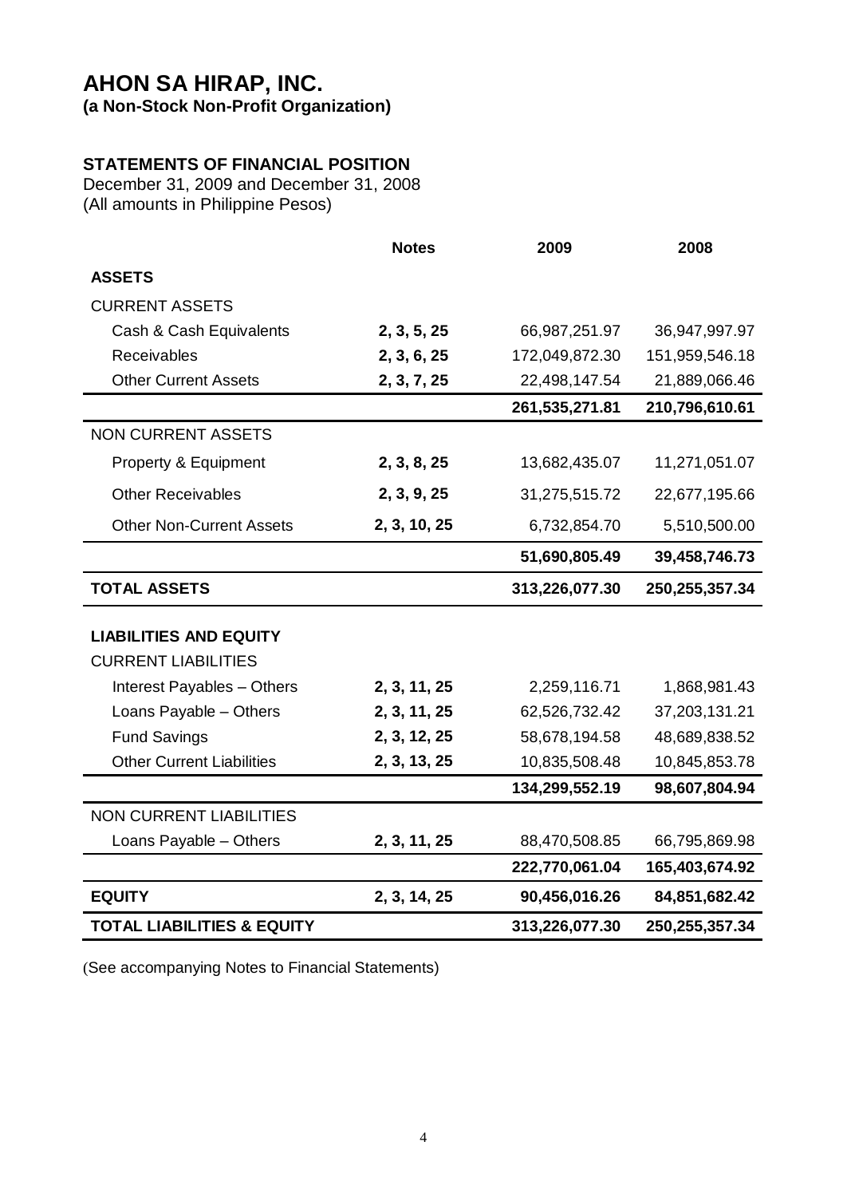## **AHON SA HIRAP, INC. (a Non-Stock Non-Profit Organization)**

## **STATEMENTS OF FINANCIAL POSITION**

December 31, 2009 and December 31, 2008 (All amounts in Philippine Pesos)

|                                       | <b>Notes</b> | 2009           | 2008              |
|---------------------------------------|--------------|----------------|-------------------|
| <b>ASSETS</b>                         |              |                |                   |
| <b>CURRENT ASSETS</b>                 |              |                |                   |
| Cash & Cash Equivalents               | 2, 3, 5, 25  | 66,987,251.97  | 36,947,997.97     |
| Receivables                           | 2, 3, 6, 25  | 172,049,872.30 | 151,959,546.18    |
| <b>Other Current Assets</b>           | 2, 3, 7, 25  | 22,498,147.54  | 21,889,066.46     |
|                                       |              | 261,535,271.81 | 210,796,610.61    |
| <b>NON CURRENT ASSETS</b>             |              |                |                   |
| Property & Equipment                  | 2, 3, 8, 25  | 13,682,435.07  | 11,271,051.07     |
| <b>Other Receivables</b>              | 2, 3, 9, 25  | 31,275,515.72  | 22,677,195.66     |
| <b>Other Non-Current Assets</b>       | 2, 3, 10, 25 | 6,732,854.70   | 5,510,500.00      |
|                                       |              | 51,690,805.49  | 39,458,746.73     |
| <b>TOTAL ASSETS</b>                   |              | 313,226,077.30 | 250, 255, 357. 34 |
| <b>LIABILITIES AND EQUITY</b>         |              |                |                   |
| <b>CURRENT LIABILITIES</b>            |              |                |                   |
| Interest Payables - Others            | 2, 3, 11, 25 | 2,259,116.71   | 1,868,981.43      |
| Loans Payable - Others                | 2, 3, 11, 25 | 62,526,732.42  | 37,203,131.21     |
| <b>Fund Savings</b>                   | 2, 3, 12, 25 | 58,678,194.58  | 48,689,838.52     |
| <b>Other Current Liabilities</b>      | 2, 3, 13, 25 | 10,835,508.48  | 10,845,853.78     |
|                                       |              | 134,299,552.19 | 98,607,804.94     |
| <b>NON CURRENT LIABILITIES</b>        |              |                |                   |
| Loans Payable - Others                | 2, 3, 11, 25 | 88,470,508.85  | 66,795,869.98     |
|                                       |              | 222,770,061.04 | 165,403,674.92    |
| <b>EQUITY</b>                         | 2, 3, 14, 25 | 90,456,016.26  | 84,851,682.42     |
| <b>TOTAL LIABILITIES &amp; EQUITY</b> |              | 313,226,077.30 | 250,255,357.34    |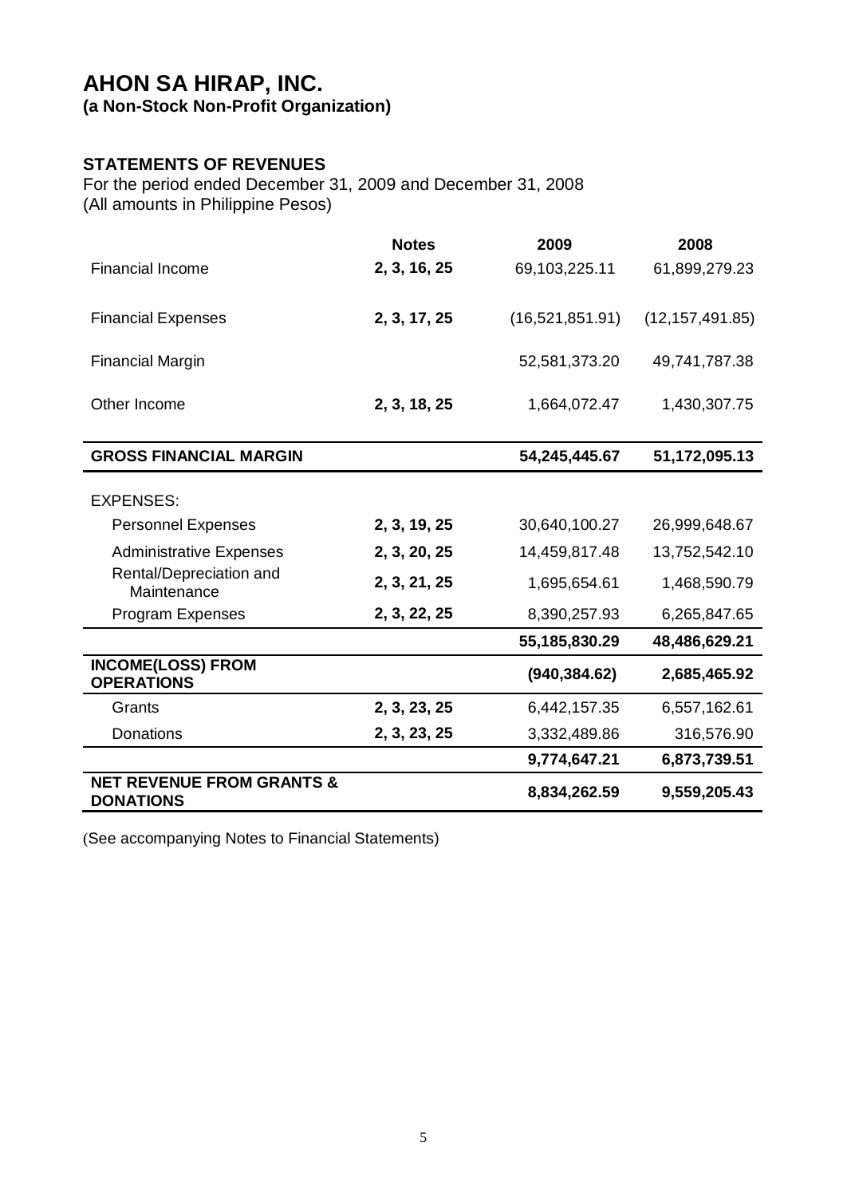## **AHON SA HIRAP, INC. (a Non-Stock Non-Profit Organization)**

## **STATEMENTS OF REVENUES**

For the period ended December 31, 2009 and December 31, 2008 (All amounts in Philippine Pesos)

|                                                          | <b>Notes</b> | 2009            | 2008              |
|----------------------------------------------------------|--------------|-----------------|-------------------|
| <b>Financial Income</b>                                  | 2, 3, 16, 25 | 69,103,225.11   | 61,899,279.23     |
| <b>Financial Expenses</b>                                | 2, 3, 17, 25 | (16,521,851.91) | (12, 157, 491.85) |
| <b>Financial Margin</b>                                  |              | 52,581,373.20   | 49,741,787.38     |
| Other Income                                             | 2, 3, 18, 25 | 1,664,072.47    | 1,430,307.75      |
| <b>GROSS FINANCIAL MARGIN</b>                            |              | 54,245,445.67   | 51,172,095.13     |
| <b>EXPENSES:</b>                                         |              |                 |                   |
|                                                          |              |                 |                   |
| <b>Personnel Expenses</b>                                | 2, 3, 19, 25 | 30,640,100.27   | 26,999,648.67     |
| <b>Administrative Expenses</b>                           | 2, 3, 20, 25 | 14,459,817.48   | 13,752,542.10     |
| Rental/Depreciation and<br>Maintenance                   | 2, 3, 21, 25 | 1,695,654.61    | 1,468,590.79      |
| Program Expenses                                         | 2, 3, 22, 25 | 8,390,257.93    | 6,265,847.65      |
|                                                          |              | 55,185,830.29   | 48,486,629.21     |
| <b>INCOME(LOSS) FROM</b><br><b>OPERATIONS</b>            |              | (940, 384.62)   | 2,685,465.92      |
| Grants                                                   | 2, 3, 23, 25 | 6,442,157.35    | 6,557,162.61      |
| <b>Donations</b>                                         | 2, 3, 23, 25 | 3,332,489.86    | 316,576.90        |
|                                                          |              | 9,774,647.21    | 6,873,739.51      |
| <b>NET REVENUE FROM GRANTS &amp;</b><br><b>DONATIONS</b> |              | 8,834,262.59    | 9,559,205.43      |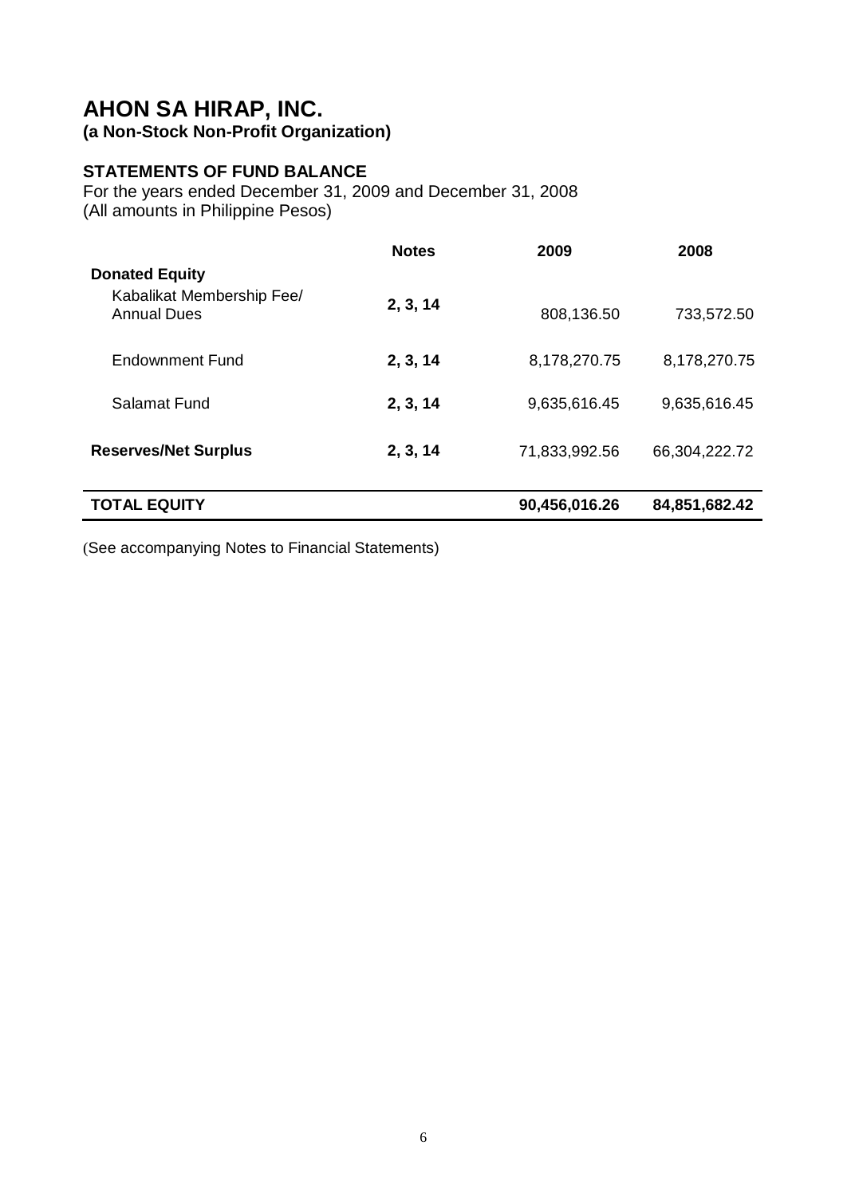# **AHON SA HIRAP, INC.**

**(a Non-Stock Non-Profit Organization)**

## **STATEMENTS OF FUND BALANCE**

For the years ended December 31, 2009 and December 31, 2008 (All amounts in Philippine Pesos)

|                                                 | <b>Notes</b> | 2009          | 2008          |
|-------------------------------------------------|--------------|---------------|---------------|
| <b>Donated Equity</b>                           |              |               |               |
| Kabalikat Membership Fee/<br><b>Annual Dues</b> | 2, 3, 14     | 808,136.50    | 733,572.50    |
| Endownment Fund                                 | 2, 3, 14     | 8,178,270.75  | 8,178,270.75  |
| Salamat Fund                                    | 2, 3, 14     | 9,635,616.45  | 9,635,616.45  |
| <b>Reserves/Net Surplus</b>                     | 2, 3, 14     | 71,833,992.56 | 66,304,222.72 |
| <b>TOTAL EQUITY</b>                             |              | 90,456,016.26 | 84,851,682.42 |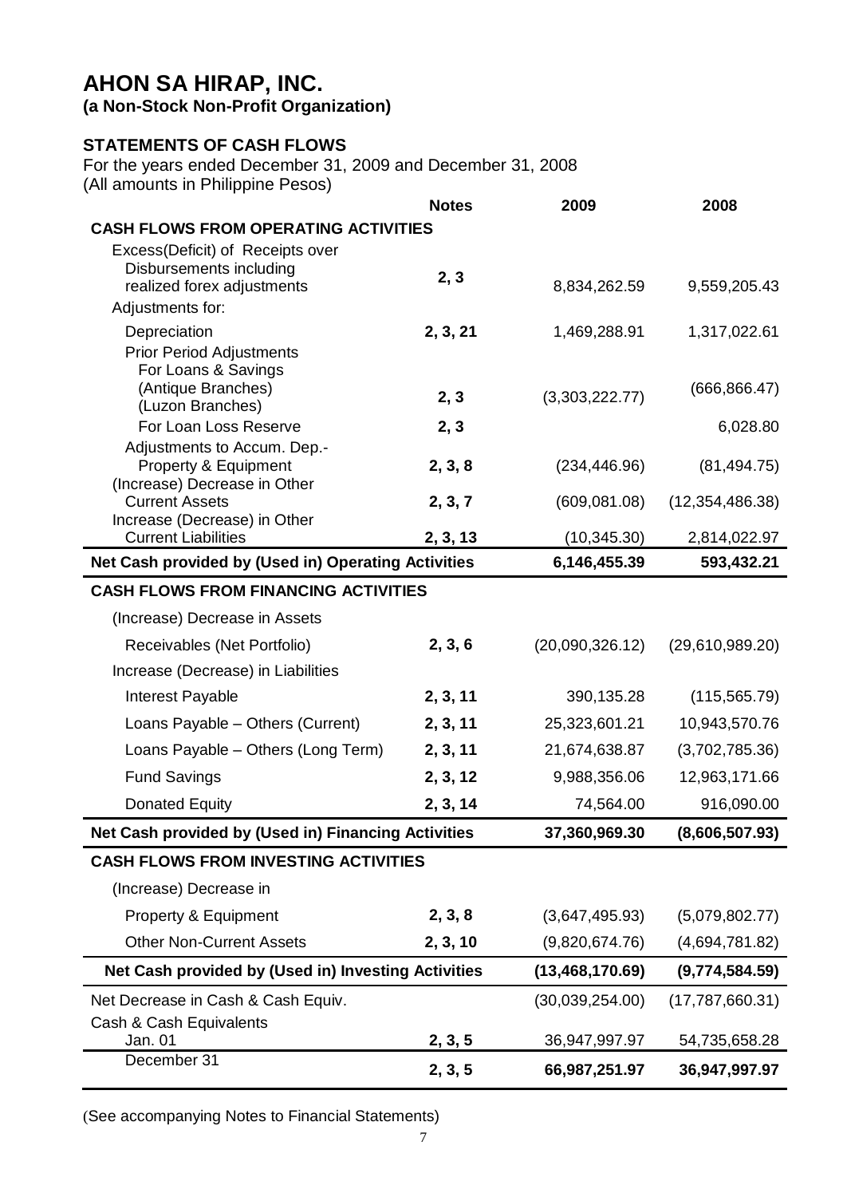## **AHON SA HIRAP, INC. (a Non-Stock Non-Profit Organization)**

## **STATEMENTS OF CASH FLOWS**

For the years ended December 31, 2009 and December 31, 2008 (All amounts in Philippine Pesos)

|                                                       | <b>Notes</b> | 2009              | 2008              |
|-------------------------------------------------------|--------------|-------------------|-------------------|
| <b>CASH FLOWS FROM OPERATING ACTIVITIES</b>           |              |                   |                   |
| Excess(Deficit) of Receipts over                      |              |                   |                   |
| Disbursements including<br>realized forex adjustments | 2, 3         | 8,834,262.59      | 9,559,205.43      |
| Adjustments for:                                      |              |                   |                   |
| Depreciation                                          | 2, 3, 21     | 1,469,288.91      | 1,317,022.61      |
| <b>Prior Period Adjustments</b>                       |              |                   |                   |
| For Loans & Savings                                   |              |                   |                   |
| (Antique Branches)<br>(Luzon Branches)                | 2, 3         | (3,303,222.77)    | (666, 866.47)     |
| For Loan Loss Reserve                                 | 2, 3         |                   | 6,028.80          |
| Adjustments to Accum. Dep.-                           |              |                   |                   |
| Property & Equipment<br>(Increase) Decrease in Other  | 2, 3, 8      | (234, 446.96)     | (81, 494.75)      |
| <b>Current Assets</b>                                 | 2, 3, 7      | (609,081.08)      | (12, 354, 486.38) |
| Increase (Decrease) in Other                          |              |                   |                   |
| <b>Current Liabilities</b>                            | 2, 3, 13     | (10, 345.30)      | 2,814,022.97      |
| Net Cash provided by (Used in) Operating Activities   |              | 6,146,455.39      | 593,432.21        |
| <b>CASH FLOWS FROM FINANCING ACTIVITIES</b>           |              |                   |                   |
| (Increase) Decrease in Assets                         |              |                   |                   |
| Receivables (Net Portfolio)                           | 2, 3, 6      | (20,090,326.12)   | (29,610,989.20)   |
| Increase (Decrease) in Liabilities                    |              |                   |                   |
| Interest Payable                                      | 2, 3, 11     | 390,135.28        | (115, 565.79)     |
| Loans Payable - Others (Current)                      | 2, 3, 11     | 25,323,601.21     | 10,943,570.76     |
| Loans Payable - Others (Long Term)                    | 2, 3, 11     | 21,674,638.87     | (3,702,785.36)    |
| <b>Fund Savings</b>                                   | 2, 3, 12     | 9,988,356.06      | 12,963,171.66     |
| <b>Donated Equity</b>                                 | 2, 3, 14     | 74,564.00         | 916,090.00        |
| Net Cash provided by (Used in) Financing Activities   |              | 37,360,969.30     | (8,606,507.93)    |
| <b>CASH FLOWS FROM INVESTING ACTIVITIES</b>           |              |                   |                   |
| (Increase) Decrease in                                |              |                   |                   |
| Property & Equipment                                  | 2, 3, 8      | (3,647,495.93)    | (5,079,802.77)    |
| <b>Other Non-Current Assets</b>                       | 2, 3, 10     | (9,820,674.76)    | (4,694,781.82)    |
| Net Cash provided by (Used in) Investing Activities   |              | (13, 468, 170.69) | (9,774,584.59)    |
| Net Decrease in Cash & Cash Equiv.                    |              | (30,039,254.00)   | (17,787,660.31)   |
| Cash & Cash Equivalents                               |              |                   |                   |
| Jan. 01                                               | 2, 3, 5      | 36,947,997.97     | 54,735,658.28     |
| December 31                                           | 2, 3, 5      | 66,987,251.97     | 36,947,997.97     |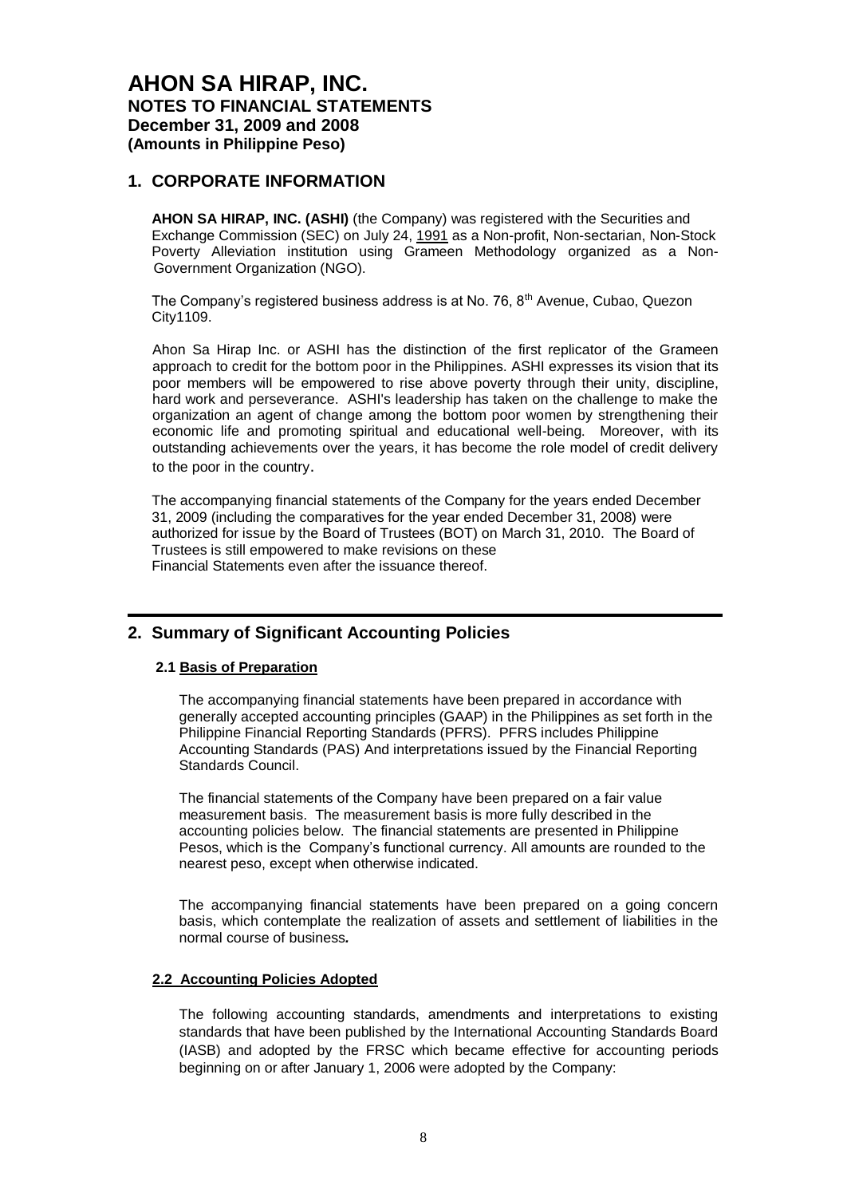## **AHON SA HIRAP, INC. NOTES TO FINANCIAL STATEMENTS December 31, 2009 and 2008 (Amounts in Philippine Peso)**

## **1. CORPORATE INFORMATION**

 **AHON SA HIRAP, INC. (ASHI)** (the Company) was registered with the Securities and Exchange Commission (SEC) on July 24, 1991 as a Non-profit, Non-sectarian, Non-Stock Poverty Alleviation institution using Grameen Methodology organized as a Non-Government Organization (NGO).

The Company's registered business address is at No. 76, 8<sup>th</sup> Avenue, Cubao, Quezon City1109.

Ahon Sa Hirap Inc. or ASHI has the distinction of the first replicator of the Grameen approach to credit for the bottom poor in the Philippines. ASHI expresses its vision that its poor members will be empowered to rise above poverty through their unity, discipline, hard work and perseverance. ASHI's leadership has taken on the challenge to make the organization an agent of change among the bottom poor women by strengthening their economic life and promoting spiritual and educational well-being. Moreover, with its outstanding achievements over the years, it has become the role model of credit delivery to the poor in the country.

 The accompanying financial statements of the Company for the years ended December 31, 2009 (including the comparatives for the year ended December 31, 2008) were authorized for issue by the Board of Trustees (BOT) on March 31, 2010. The Board of Trustees is still empowered to make revisions on these Financial Statements even after the issuance thereof.

## **2. Summary of Significant Accounting Policies**

## **2.1 Basis of Preparation**

The accompanying financial statements have been prepared in accordance with generally accepted accounting principles (GAAP) in the Philippines as set forth in the Philippine Financial Reporting Standards (PFRS). PFRS includes Philippine Accounting Standards (PAS) And interpretations issued by the Financial Reporting Standards Council.

The financial statements of the Company have been prepared on a fair value measurement basis. The measurement basis is more fully described in the accounting policies below. The financial statements are presented in Philippine Pesos, which is the Company's functional currency. All amounts are rounded to the nearest peso, except when otherwise indicated.

The accompanying financial statements have been prepared on a going concern basis, which contemplate the realization of assets and settlement of liabilities in the normal course of business*.*

## **2.2 Accounting Policies Adopted**

The following accounting standards, amendments and interpretations to existing standards that have been published by the International Accounting Standards Board (IASB) and adopted by the FRSC which became effective for accounting periods beginning on or after January 1, 2006 were adopted by the Company: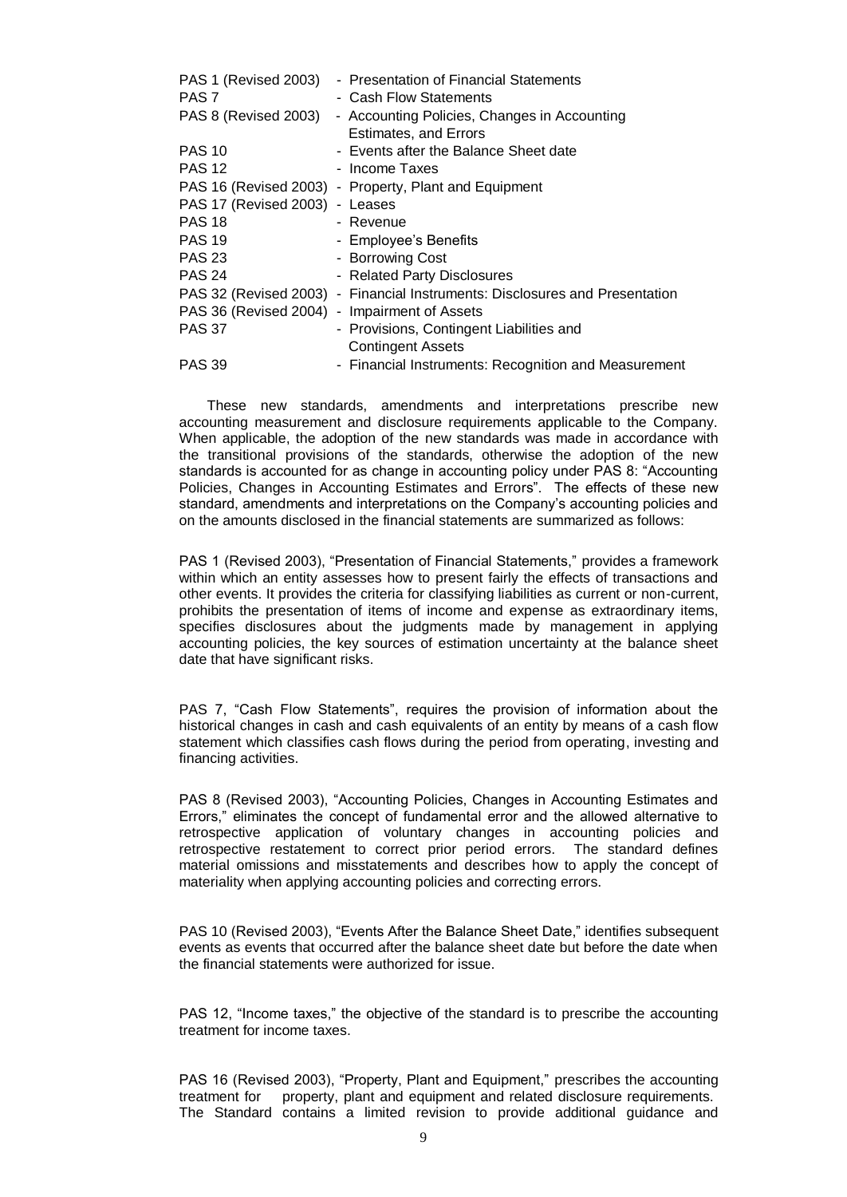| PAS 1 (Revised 2003)                         | - Presentation of Financial Statements                                      |
|----------------------------------------------|-----------------------------------------------------------------------------|
| PAS <sub>7</sub>                             | - Cash Flow Statements                                                      |
| PAS 8 (Revised 2003)                         | - Accounting Policies, Changes in Accounting                                |
|                                              | <b>Estimates, and Errors</b>                                                |
| <b>PAS 10</b>                                | - Events after the Balance Sheet date                                       |
| <b>PAS 12</b>                                | - Income Taxes                                                              |
|                                              | PAS 16 (Revised 2003) - Property, Plant and Equipment                       |
| PAS 17 (Revised 2003) - Leases               |                                                                             |
| <b>PAS 18</b>                                | - Revenue                                                                   |
| <b>PAS 19</b>                                | - Employee's Benefits                                                       |
| <b>PAS 23</b>                                | - Borrowing Cost                                                            |
| <b>PAS 24</b>                                | - Related Party Disclosures                                                 |
|                                              | PAS 32 (Revised 2003) - Financial Instruments: Disclosures and Presentation |
| PAS 36 (Revised 2004) - Impairment of Assets |                                                                             |
| <b>PAS 37</b>                                | - Provisions, Contingent Liabilities and                                    |
|                                              | <b>Contingent Assets</b>                                                    |
| <b>PAS 39</b>                                | - Financial Instruments: Recognition and Measurement                        |

 These new standards, amendments and interpretations prescribe new accounting measurement and disclosure requirements applicable to the Company. When applicable, the adoption of the new standards was made in accordance with the transitional provisions of the standards, otherwise the adoption of the new standards is accounted for as change in accounting policy under PAS 8: "Accounting Policies, Changes in Accounting Estimates and Errors". The effects of these new standard, amendments and interpretations on the Company's accounting policies and on the amounts disclosed in the financial statements are summarized as follows:

PAS 1 (Revised 2003), "Presentation of Financial Statements," provides a framework within which an entity assesses how to present fairly the effects of transactions and other events. It provides the criteria for classifying liabilities as current or non-current, prohibits the presentation of items of income and expense as extraordinary items, specifies disclosures about the judgments made by management in applying accounting policies, the key sources of estimation uncertainty at the balance sheet date that have significant risks.

[PAS](http://www.iasplus.com/standard/ias07.htm) 7, "Cash Flow Statements", requires the provision of information about the historical changes in cash and cash equivalents of an entity by means of a cash flow statement which classifies cash flows during the period from operating, investing and financing activities.

PAS 8 (Revised 2003), "Accounting Policies, Changes in Accounting Estimates and Errors," eliminates the concept of fundamental error and the allowed alternative to retrospective application of voluntary changes in accounting policies and retrospective restatement to correct prior period errors. The standard defines material omissions and misstatements and describes how to apply the concept of materiality when applying accounting policies and correcting errors.

PAS 10 (Revised 2003), "Events After the Balance Sheet Date," identifies subsequent events as events that occurred after the balance sheet date but before the date when the financial statements were authorized for issue.

PAS 12, "Income taxes," the objective of the standard is to prescribe the accounting treatment for income taxes.

PAS 16 (Revised 2003), "Property, Plant and Equipment," prescribes the accounting treatment for property, plant and equipment and related disclosure requirements. The Standard contains a limited revision to provide additional guidance and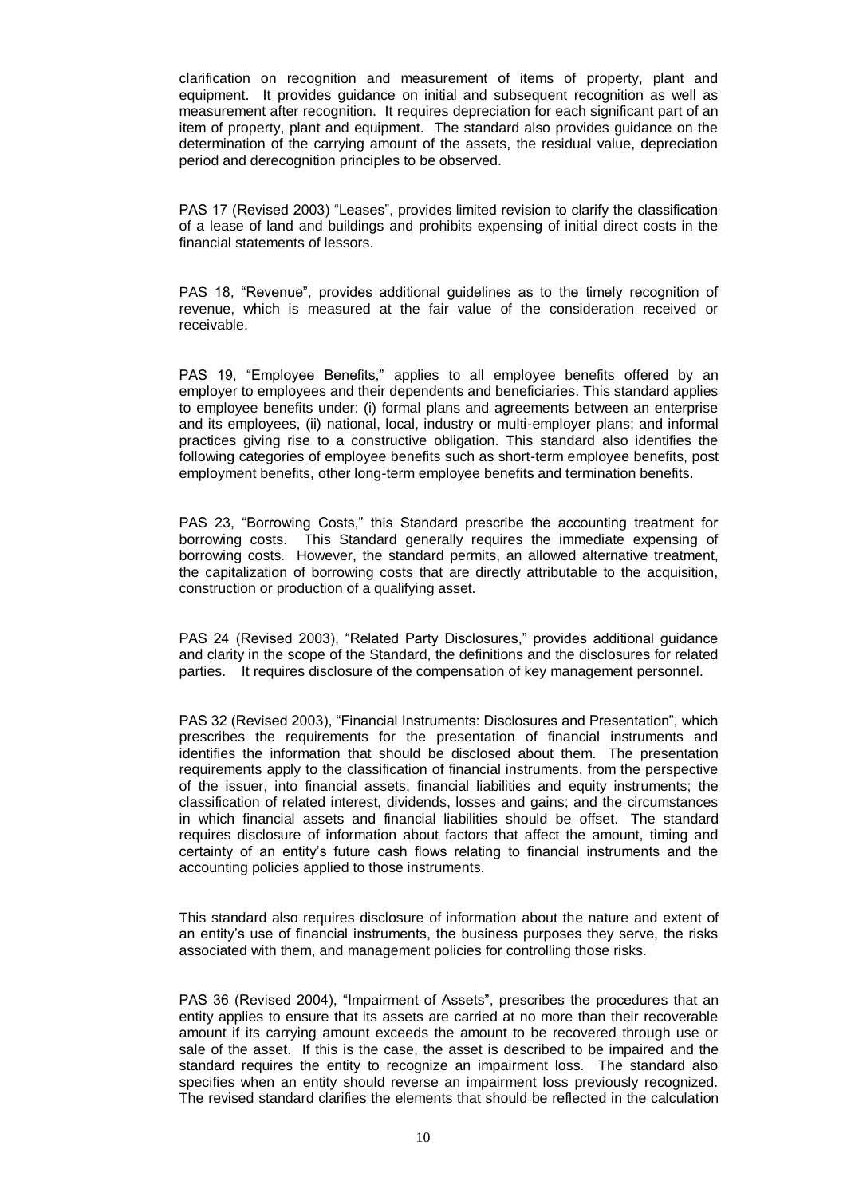clarification on recognition and measurement of items of property, plant and equipment. It provides guidance on initial and subsequent recognition as well as measurement after recognition. It requires depreciation for each significant part of an item of property, plant and equipment. The standard also provides guidance on the determination of the carrying amount of the assets, the residual value, depreciation period and derecognition principles to be observed.

PAS 17 (Revised 2003) "Leases", provides limited revision to clarify the classification of a lease of land and buildings and prohibits expensing of initial direct costs in the financial statements of lessors.

[PAS](http://www.iasplus.com/standard/ias18.htm) 18, "Revenue", provides additional guidelines as to the timely recognition of revenue, which is measured at the fair value of the consideration received or receivable.

PAS 19, "Employee Benefits," applies to all employee benefits offered by an employer to employees and their dependents and beneficiaries. This standard applies to employee benefits under: (i) formal plans and agreements between an enterprise and its employees, (ii) national, local, industry or multi-employer plans; and informal practices giving rise to a constructive obligation. This standard also identifies the following categories of employee benefits such as short-term employee benefits, post employment benefits, other long-term employee benefits and termination benefits.

PAS 23, "Borrowing Costs," this Standard prescribe the accounting treatment for borrowing costs. This Standard generally requires the immediate expensing of borrowing costs. However, the standard permits, an allowed alternative treatment, the capitalization of borrowing costs that are directly attributable to the acquisition, construction or production of a qualifying asset.

PAS 24 (Revised 2003), "Related Party Disclosures," provides additional guidance and clarity in the scope of the Standard, the definitions and the disclosures for related parties. It requires disclosure of the compensation of key management personnel.

PAS 32 (Revised 2003), "Financial Instruments: Disclosures and Presentation", which prescribes the requirements for the presentation of financial instruments and identifies the information that should be disclosed about them. The presentation requirements apply to the classification of financial instruments, from the perspective of the issuer, into financial assets, financial liabilities and equity instruments; the classification of related interest, dividends, losses and gains; and the circumstances in which financial assets and financial liabilities should be offset. The standard requires disclosure of information about factors that affect the amount, timing and certainty of an entity's future cash flows relating to financial instruments and the accounting policies applied to those instruments.

This standard also requires disclosure of information about the nature and extent of an entity's use of financial instruments, the business purposes they serve, the risks associated with them, and management policies for controlling those risks.

PAS 36 (Revised 2004), "Impairment of Assets", prescribes the procedures that an entity applies to ensure that its assets are carried at no more than their recoverable amount if its carrying amount exceeds the amount to be recovered through use or sale of the asset. If this is the case, the asset is described to be impaired and the standard requires the entity to recognize an impairment loss. The standard also specifies when an entity should reverse an impairment loss previously recognized. The revised standard clarifies the elements that should be reflected in the calculation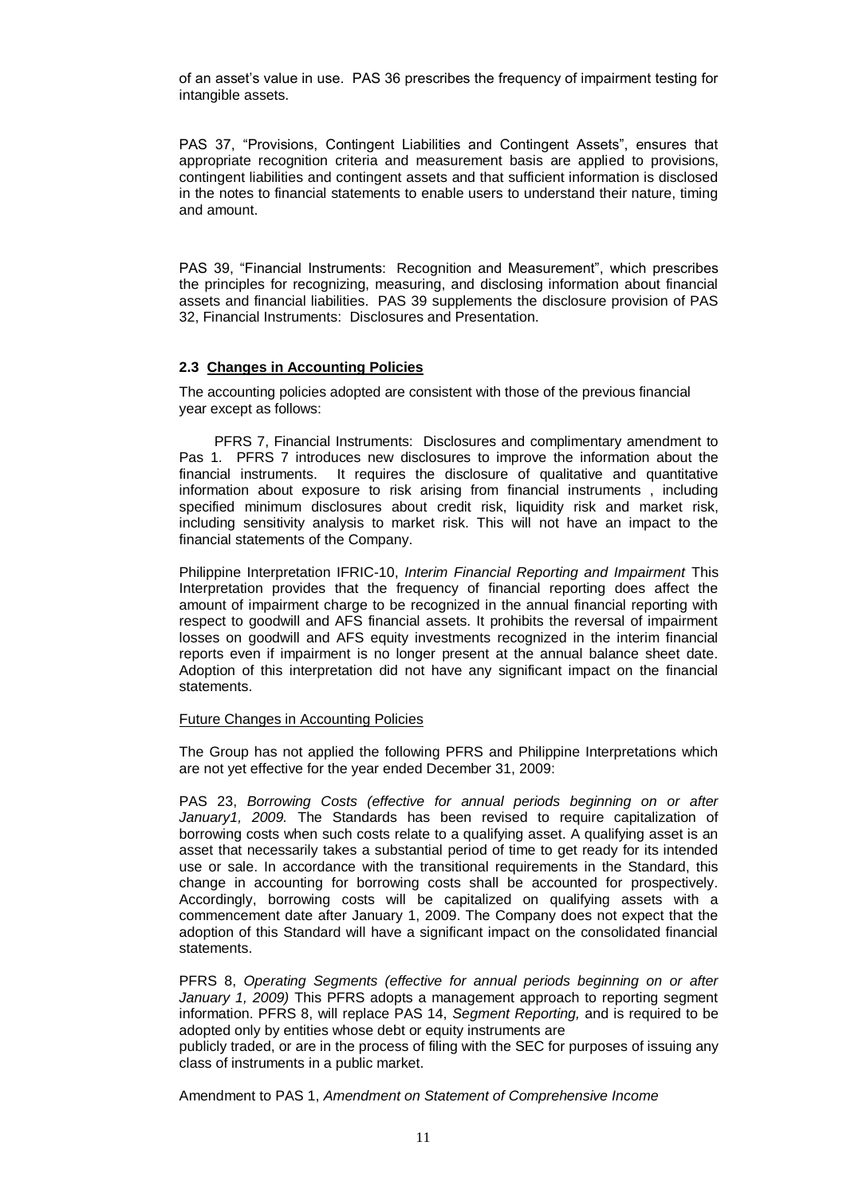of an asset's value in use. PAS 36 prescribes the frequency of impairment testing for intangible assets.

PAS 37, "Provisions, Contingent Liabilities and Contingent Assets", ensures that appropriate recognition criteria and measurement basis are applied to provisions, contingent liabilities and contingent assets and that sufficient information is disclosed in the notes to financial statements to enable users to understand their nature, timing and amount.

PAS 39, "Financial Instruments: Recognition and Measurement", which prescribes the principles for recognizing, measuring, and disclosing information about financial assets and financial liabilities. PAS 39 supplements the disclosure provision of PAS 32, Financial Instruments: Disclosures and Presentation.

### **2.3 Changes in Accounting Policies**

The accounting policies adopted are consistent with those of the previous financial year except as follows:

 PFRS 7, Financial Instruments: Disclosures and complimentary amendment to Pas 1. PFRS 7 introduces new disclosures to improve the information about the financial instruments. It requires the disclosure of qualitative and quantitative information about exposure to risk arising from financial instruments , including specified minimum disclosures about credit risk, liquidity risk and market risk, including sensitivity analysis to market risk. This will not have an impact to the financial statements of the Company.

Philippine Interpretation IFRIC-10, *Interim Financial Reporting and Impairment* This Interpretation provides that the frequency of financial reporting does affect the amount of impairment charge to be recognized in the annual financial reporting with respect to goodwill and AFS financial assets. It prohibits the reversal of impairment losses on goodwill and AFS equity investments recognized in the interim financial reports even if impairment is no longer present at the annual balance sheet date. Adoption of this interpretation did not have any significant impact on the financial statements.

#### Future Changes in Accounting Policies

The Group has not applied the following PFRS and Philippine Interpretations which are not yet effective for the year ended December 31, 2009:

PAS 23, *Borrowing Costs (effective for annual periods beginning on or after January1, 2009.* The Standards has been revised to require capitalization of borrowing costs when such costs relate to a qualifying asset. A qualifying asset is an asset that necessarily takes a substantial period of time to get ready for its intended use or sale. In accordance with the transitional requirements in the Standard, this change in accounting for borrowing costs shall be accounted for prospectively. Accordingly, borrowing costs will be capitalized on qualifying assets with a commencement date after January 1, 2009. The Company does not expect that the adoption of this Standard will have a significant impact on the consolidated financial statements.

PFRS 8, *Operating Segments (effective for annual periods beginning on or after January 1, 2009)* This PFRS adopts a management approach to reporting segment information. PFRS 8, will replace PAS 14, *Segment Reporting,* and is required to be adopted only by entities whose debt or equity instruments are

publicly traded, or are in the process of filing with the SEC for purposes of issuing any class of instruments in a public market.

Amendment to PAS 1, *Amendment on Statement of Comprehensive Income*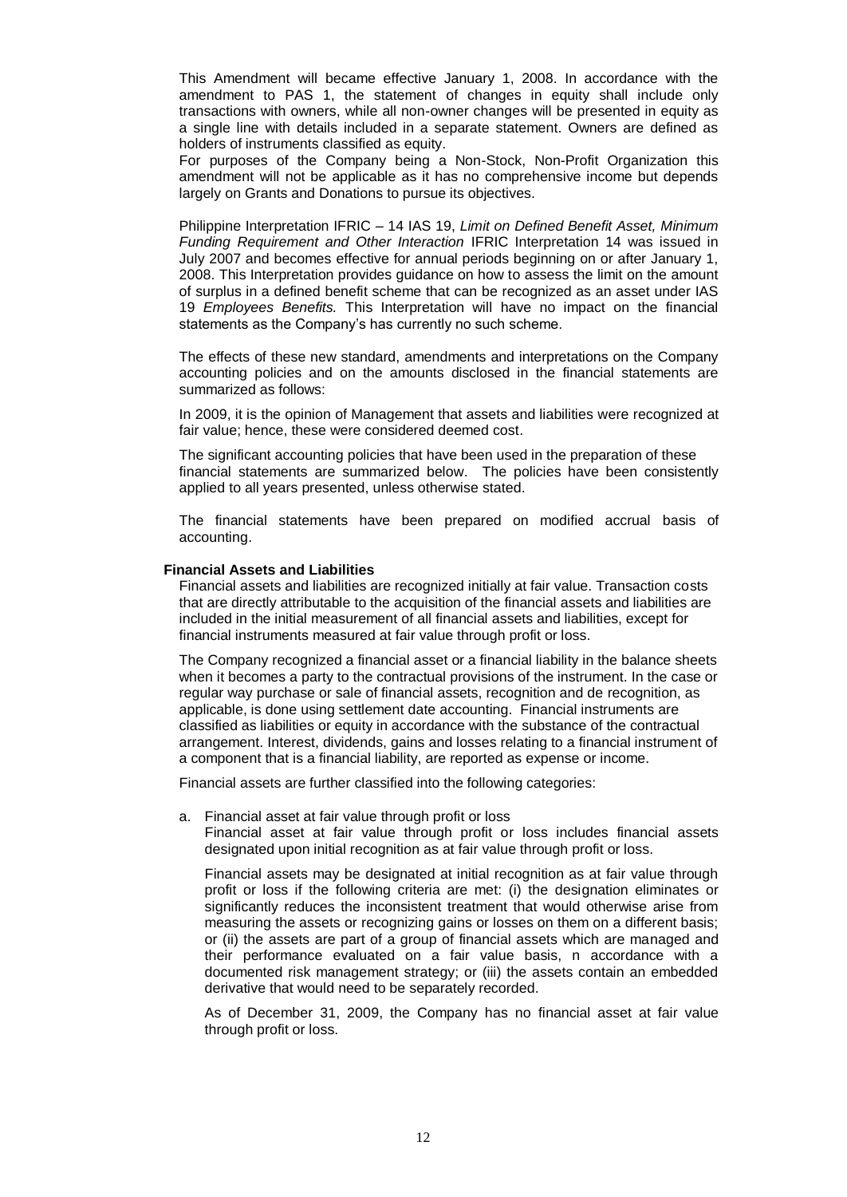This Amendment will became effective January 1, 2008. In accordance with the amendment to PAS 1, the statement of changes in equity shall include only transactions with owners, while all non-owner changes will be presented in equity as a single line with details included in a separate statement. Owners are defined as holders of instruments classified as equity.

For purposes of the Company being a Non-Stock, Non-Profit Organization this amendment will not be applicable as it has no comprehensive income but depends largely on Grants and Donations to pursue its objectives.

Philippine Interpretation IFRIC – 14 IAS 19, *Limit on Defined Benefit Asset, Minimum Funding Requirement and Other Interaction* IFRIC Interpretation 14 was issued in July 2007 and becomes effective for annual periods beginning on or after January 1, 2008. This Interpretation provides guidance on how to assess the limit on the amount of surplus in a defined benefit scheme that can be recognized as an asset under IAS 19 *Employees Benefits.* This Interpretation will have no impact on the financial statements as the Company's has currently no such scheme.

The effects of these new standard, amendments and interpretations on the Company accounting policies and on the amounts disclosed in the financial statements are summarized as follows:

In 2009, it is the opinion of Management that assets and liabilities were recognized at fair value; hence, these were considered deemed cost.

The significant accounting policies that have been used in the preparation of these financial statements are summarized below. The policies have been consistently applied to all years presented, unless otherwise stated.

The financial statements have been prepared on modified accrual basis of accounting.

#### **Financial Assets and Liabilities**

Financial assets and liabilities are recognized initially at fair value. Transaction costs that are directly attributable to the acquisition of the financial assets and liabilities are included in the initial measurement of all financial assets and liabilities, except for financial instruments measured at fair value through profit or loss.

The Company recognized a financial asset or a financial liability in the balance sheets when it becomes a party to the contractual provisions of the instrument. In the case or regular way purchase or sale of financial assets, recognition and de recognition, as applicable, is done using settlement date accounting. Financial instruments are classified as liabilities or equity in accordance with the substance of the contractual arrangement. Interest, dividends, gains and losses relating to a financial instrument of a component that is a financial liability, are reported as expense or income.

Financial assets are further classified into the following categories:

a. Financial asset at fair value through profit or loss

Financial asset at fair value through profit or loss includes financial assets designated upon initial recognition as at fair value through profit or loss.

Financial assets may be designated at initial recognition as at fair value through profit or loss if the following criteria are met: (i) the designation eliminates or significantly reduces the inconsistent treatment that would otherwise arise from measuring the assets or recognizing gains or losses on them on a different basis; or (ii) the assets are part of a group of financial assets which are managed and their performance evaluated on a fair value basis, n accordance with a documented risk management strategy; or (iii) the assets contain an embedded derivative that would need to be separately recorded.

As of December 31, 2009, the Company has no financial asset at fair value through profit or loss.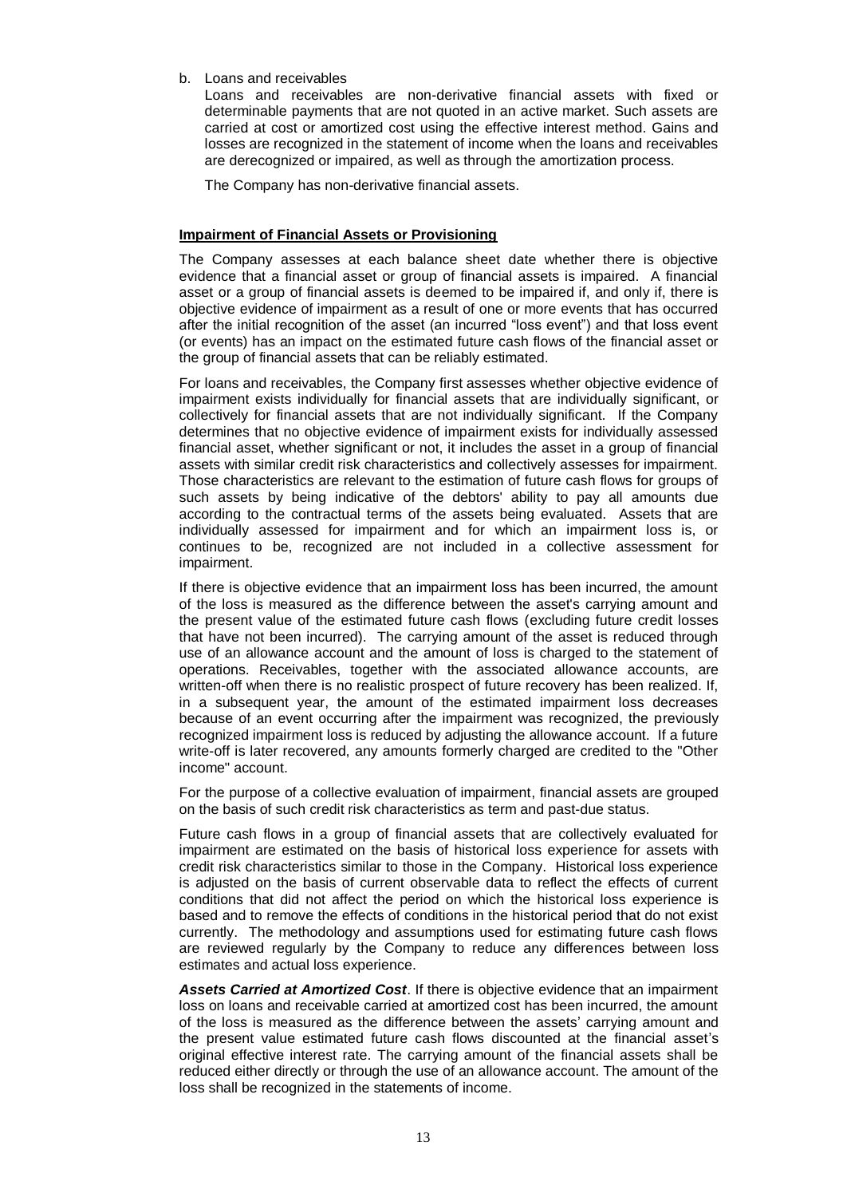### b. Loans and receivables

Loans and receivables are non-derivative financial assets with fixed or determinable payments that are not quoted in an active market. Such assets are carried at cost or amortized cost using the effective interest method. Gains and losses are recognized in the statement of income when the loans and receivables are derecognized or impaired, as well as through the amortization process.

The Company has non-derivative financial assets.

### **Impairment of Financial Assets or Provisioning**

The Company assesses at each balance sheet date whether there is objective evidence that a financial asset or group of financial assets is impaired. A financial asset or a group of financial assets is deemed to be impaired if, and only if, there is objective evidence of impairment as a result of one or more events that has occurred after the initial recognition of the asset (an incurred "loss event") and that loss event (or events) has an impact on the estimated future cash flows of the financial asset or the group of financial assets that can be reliably estimated.

For loans and receivables, the Company first assesses whether objective evidence of impairment exists individually for financial assets that are individually significant, or collectively for financial assets that are not individually significant. If the Company determines that no objective evidence of impairment exists for individually assessed financial asset, whether significant or not, it includes the asset in a group of financial assets with similar credit risk characteristics and collectively assesses for impairment. Those characteristics are relevant to the estimation of future cash flows for groups of such assets by being indicative of the debtors' ability to pay all amounts due according to the contractual terms of the assets being evaluated. Assets that are individually assessed for impairment and for which an impairment loss is, or continues to be, recognized are not included in a collective assessment for impairment.

If there is objective evidence that an impairment loss has been incurred, the amount of the loss is measured as the difference between the asset's carrying amount and the present value of the estimated future cash flows (excluding future credit losses that have not been incurred). The carrying amount of the asset is reduced through use of an allowance account and the amount of loss is charged to the statement of operations. Receivables, together with the associated allowance accounts, are written-off when there is no realistic prospect of future recovery has been realized. If, in a subsequent year, the amount of the estimated impairment loss decreases because of an event occurring after the impairment was recognized, the previously recognized impairment loss is reduced by adjusting the allowance account. If a future write-off is later recovered, any amounts formerly charged are credited to the "Other income" account.

For the purpose of a collective evaluation of impairment, financial assets are grouped on the basis of such credit risk characteristics as term and past-due status.

Future cash flows in a group of financial assets that are collectively evaluated for impairment are estimated on the basis of historical loss experience for assets with credit risk characteristics similar to those in the Company. Historical loss experience is adjusted on the basis of current observable data to reflect the effects of current conditions that did not affect the period on which the historical loss experience is based and to remove the effects of conditions in the historical period that do not exist currently. The methodology and assumptions used for estimating future cash flows are reviewed regularly by the Company to reduce any differences between loss estimates and actual loss experience.

*Assets Carried at Amortized Cost*. If there is objective evidence that an impairment loss on loans and receivable carried at amortized cost has been incurred, the amount of the loss is measured as the difference between the assets' carrying amount and the present value estimated future cash flows discounted at the financial asset's original effective interest rate. The carrying amount of the financial assets shall be reduced either directly or through the use of an allowance account. The amount of the loss shall be recognized in the statements of income.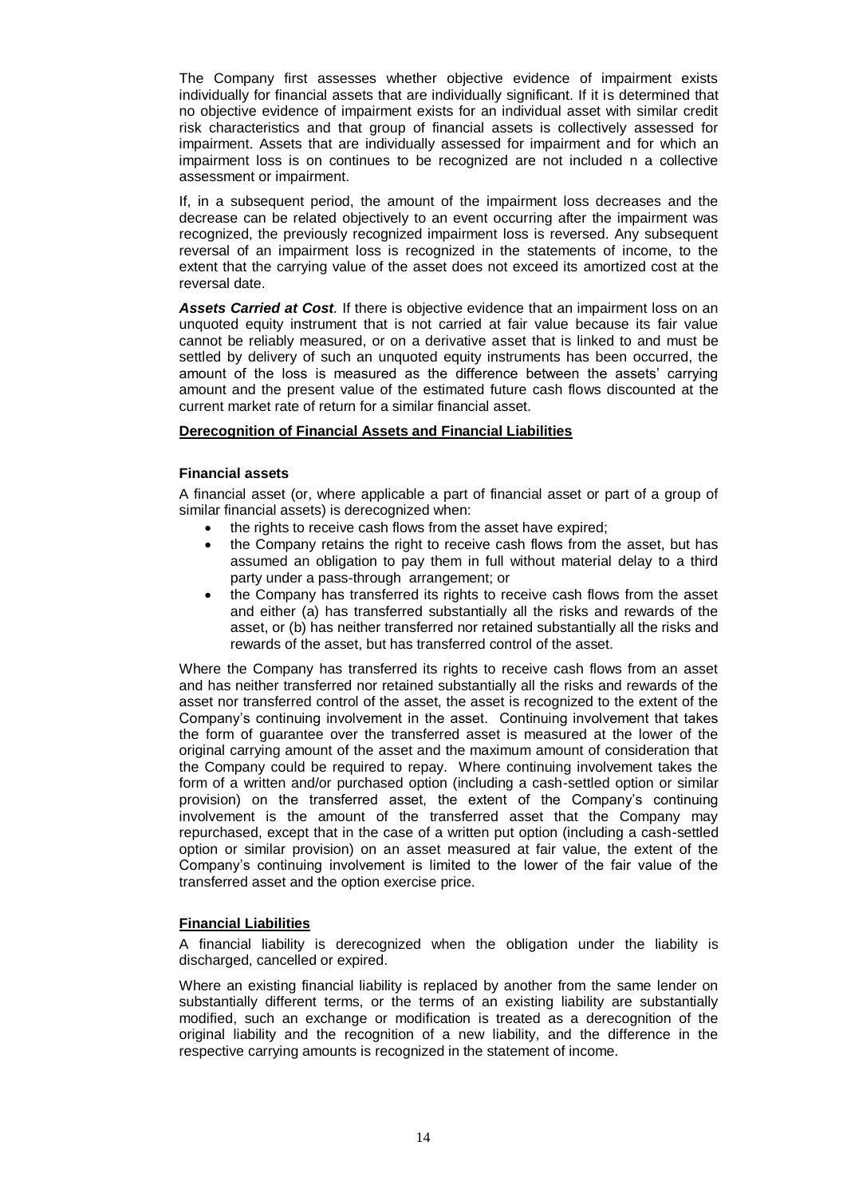The Company first assesses whether objective evidence of impairment exists individually for financial assets that are individually significant. If it is determined that no objective evidence of impairment exists for an individual asset with similar credit risk characteristics and that group of financial assets is collectively assessed for impairment. Assets that are individually assessed for impairment and for which an impairment loss is on continues to be recognized are not included n a collective assessment or impairment.

If, in a subsequent period, the amount of the impairment loss decreases and the decrease can be related objectively to an event occurring after the impairment was recognized, the previously recognized impairment loss is reversed. Any subsequent reversal of an impairment loss is recognized in the statements of income, to the extent that the carrying value of the asset does not exceed its amortized cost at the reversal date.

Assets Carried at Cost. If there is objective evidence that an impairment loss on an unquoted equity instrument that is not carried at fair value because its fair value cannot be reliably measured, or on a derivative asset that is linked to and must be settled by delivery of such an unquoted equity instruments has been occurred, the amount of the loss is measured as the difference between the assets' carrying amount and the present value of the estimated future cash flows discounted at the current market rate of return for a similar financial asset.

### **Derecognition of Financial Assets and Financial Liabilities**

#### **Financial assets**

A financial asset (or, where applicable a part of financial asset or part of a group of similar financial assets) is derecognized when:

- the rights to receive cash flows from the asset have expired;
- the Company retains the right to receive cash flows from the asset, but has assumed an obligation to pay them in full without material delay to a third party under a pass-through arrangement; or
- the Company has transferred its rights to receive cash flows from the asset and either (a) has transferred substantially all the risks and rewards of the asset, or (b) has neither transferred nor retained substantially all the risks and rewards of the asset, but has transferred control of the asset.

Where the Company has transferred its rights to receive cash flows from an asset and has neither transferred nor retained substantially all the risks and rewards of the asset nor transferred control of the asset, the asset is recognized to the extent of the Company's continuing involvement in the asset. Continuing involvement that takes the form of guarantee over the transferred asset is measured at the lower of the original carrying amount of the asset and the maximum amount of consideration that the Company could be required to repay. Where continuing involvement takes the form of a written and/or purchased option (including a cash-settled option or similar provision) on the transferred asset, the extent of the Company's continuing involvement is the amount of the transferred asset that the Company may repurchased, except that in the case of a written put option (including a cash-settled option or similar provision) on an asset measured at fair value, the extent of the Company's continuing involvement is limited to the lower of the fair value of the transferred asset and the option exercise price.

#### **Financial Liabilities**

A financial liability is derecognized when the obligation under the liability is discharged, cancelled or expired.

Where an existing financial liability is replaced by another from the same lender on substantially different terms, or the terms of an existing liability are substantially modified, such an exchange or modification is treated as a derecognition of the original liability and the recognition of a new liability, and the difference in the respective carrying amounts is recognized in the statement of income.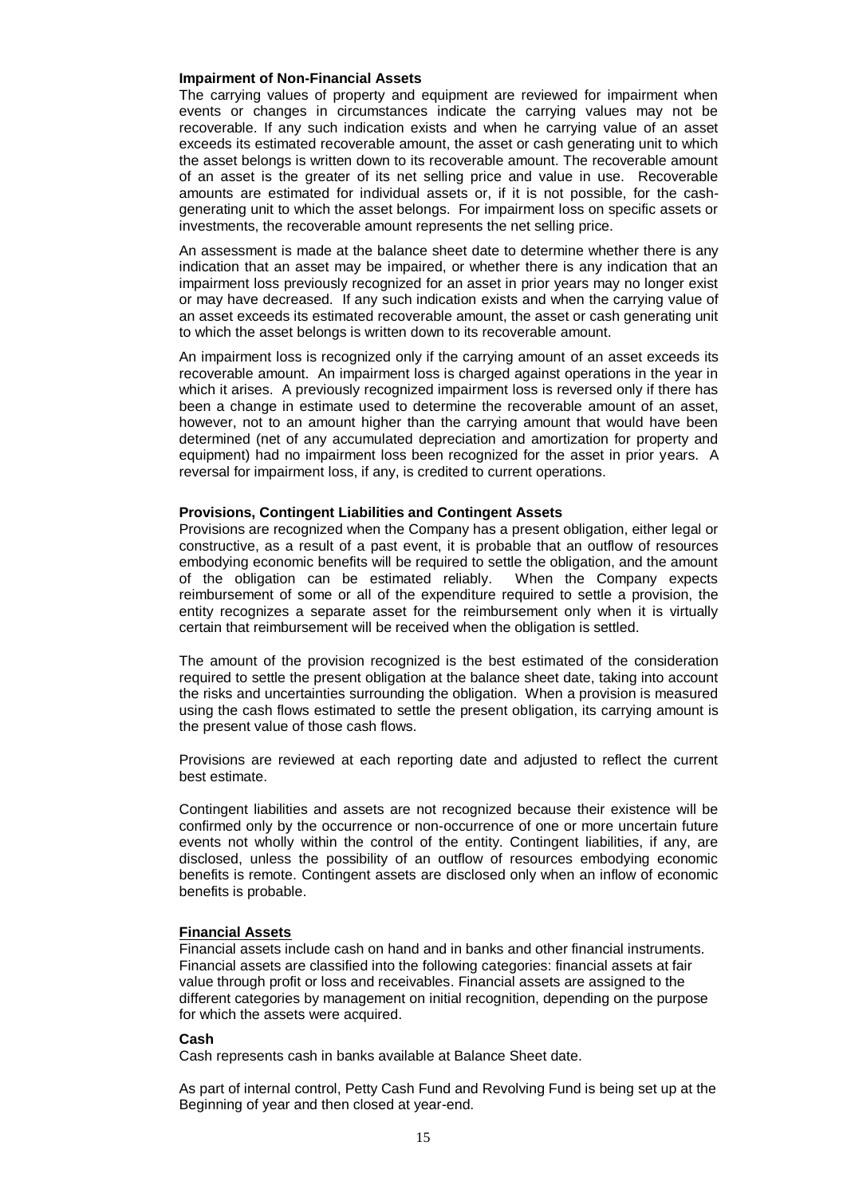#### **Impairment of Non-Financial Assets**

The carrying values of property and equipment are reviewed for impairment when events or changes in circumstances indicate the carrying values may not be recoverable. If any such indication exists and when he carrying value of an asset exceeds its estimated recoverable amount, the asset or cash generating unit to which the asset belongs is written down to its recoverable amount. The recoverable amount of an asset is the greater of its net selling price and value in use. Recoverable amounts are estimated for individual assets or, if it is not possible, for the cashgenerating unit to which the asset belongs. For impairment loss on specific assets or investments, the recoverable amount represents the net selling price.

An assessment is made at the balance sheet date to determine whether there is any indication that an asset may be impaired, or whether there is any indication that an impairment loss previously recognized for an asset in prior years may no longer exist or may have decreased. If any such indication exists and when the carrying value of an asset exceeds its estimated recoverable amount, the asset or cash generating unit to which the asset belongs is written down to its recoverable amount.

An impairment loss is recognized only if the carrying amount of an asset exceeds its recoverable amount. An impairment loss is charged against operations in the year in which it arises. A previously recognized impairment loss is reversed only if there has been a change in estimate used to determine the recoverable amount of an asset, however, not to an amount higher than the carrying amount that would have been determined (net of any accumulated depreciation and amortization for property and equipment) had no impairment loss been recognized for the asset in prior years. A reversal for impairment loss, if any, is credited to current operations.

#### **Provisions, Contingent Liabilities and Contingent Assets**

Provisions are recognized when the Company has a present obligation, either legal or constructive, as a result of a past event, it is probable that an outflow of resources embodying economic benefits will be required to settle the obligation, and the amount of the obligation can be estimated reliably. When the Company expects reimbursement of some or all of the expenditure required to settle a provision, the entity recognizes a separate asset for the reimbursement only when it is virtually certain that reimbursement will be received when the obligation is settled.

The amount of the provision recognized is the best estimated of the consideration required to settle the present obligation at the balance sheet date, taking into account the risks and uncertainties surrounding the obligation. When a provision is measured using the cash flows estimated to settle the present obligation, its carrying amount is the present value of those cash flows.

Provisions are reviewed at each reporting date and adjusted to reflect the current best estimate.

Contingent liabilities and assets are not recognized because their existence will be confirmed only by the occurrence or non-occurrence of one or more uncertain future events not wholly within the control of the entity. Contingent liabilities, if any, are disclosed, unless the possibility of an outflow of resources embodying economic benefits is remote. Contingent assets are disclosed only when an inflow of economic benefits is probable.

#### **Financial Assets**

Financial assets include cash on hand and in banks and other financial instruments. Financial assets are classified into the following categories: financial assets at fair value through profit or loss and receivables. Financial assets are assigned to the different categories by management on initial recognition, depending on the purpose for which the assets were acquired.

#### **Cash**

Cash represents cash in banks available at Balance Sheet date.

As part of internal control, Petty Cash Fund and Revolving Fund is being set up at the Beginning of year and then closed at year-end.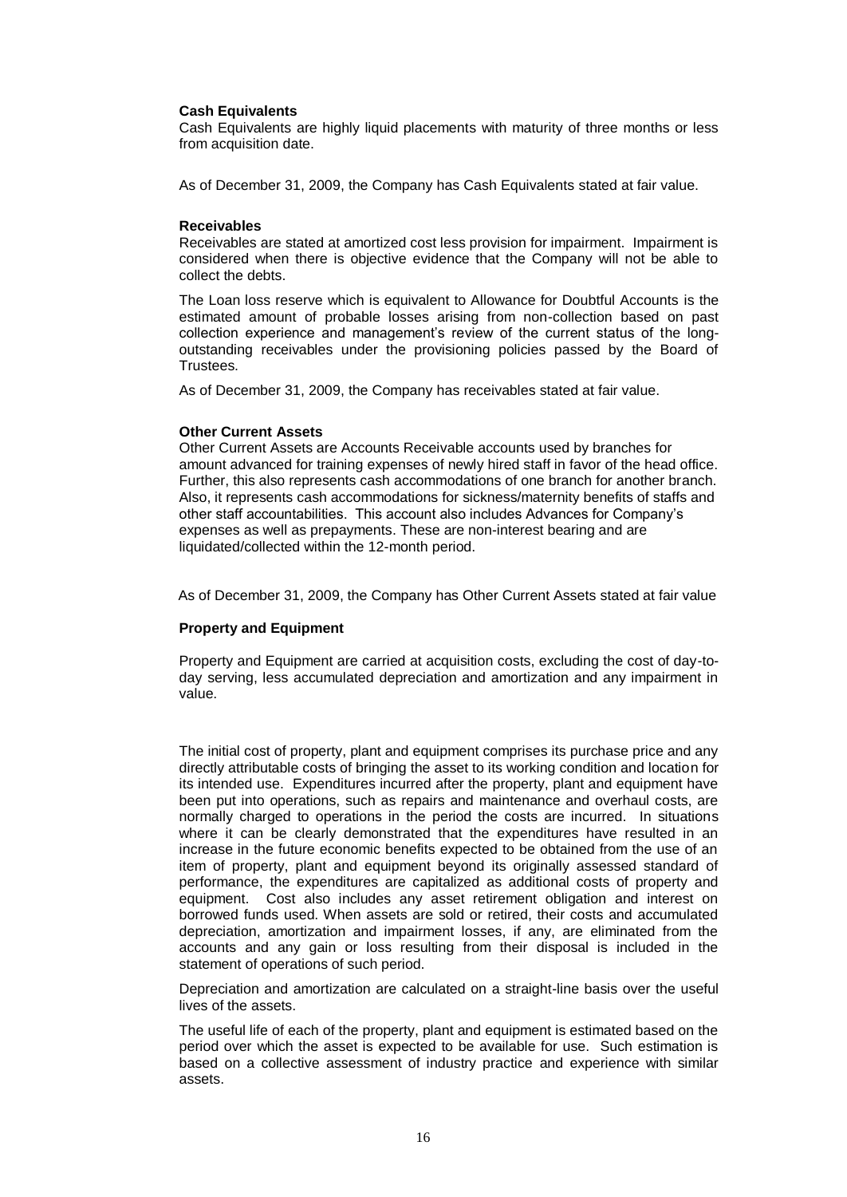#### **Cash Equivalents**

Cash Equivalents are highly liquid placements with maturity of three months or less from acquisition date.

As of December 31, 2009, the Company has Cash Equivalents stated at fair value.

#### **Receivables**

Receivables are stated at amortized cost less provision for impairment. Impairment is considered when there is objective evidence that the Company will not be able to collect the debts.

The Loan loss reserve which is equivalent to Allowance for Doubtful Accounts is the estimated amount of probable losses arising from non-collection based on past collection experience and management's review of the current status of the longoutstanding receivables under the provisioning policies passed by the Board of Trustees.

As of December 31, 2009, the Company has receivables stated at fair value.

#### **Other Current Assets**

Other Current Assets are Accounts Receivable accounts used by branches for amount advanced for training expenses of newly hired staff in favor of the head office. Further, this also represents cash accommodations of one branch for another branch. Also, it represents cash accommodations for sickness/maternity benefits of staffs and other staff accountabilities. This account also includes Advances for Company's expenses as well as prepayments. These are non-interest bearing and are liquidated/collected within the 12-month period.

As of December 31, 2009, the Company has Other Current Assets stated at fair value

#### **Property and Equipment**

Property and Equipment are carried at acquisition costs, excluding the cost of day-today serving, less accumulated depreciation and amortization and any impairment in value.

The initial cost of property, plant and equipment comprises its purchase price and any directly attributable costs of bringing the asset to its working condition and location for its intended use. Expenditures incurred after the property, plant and equipment have been put into operations, such as repairs and maintenance and overhaul costs, are normally charged to operations in the period the costs are incurred. In situations where it can be clearly demonstrated that the expenditures have resulted in an increase in the future economic benefits expected to be obtained from the use of an item of property, plant and equipment beyond its originally assessed standard of performance, the expenditures are capitalized as additional costs of property and equipment. Cost also includes any asset retirement obligation and interest on borrowed funds used. When assets are sold or retired, their costs and accumulated depreciation, amortization and impairment losses, if any, are eliminated from the accounts and any gain or loss resulting from their disposal is included in the statement of operations of such period.

Depreciation and amortization are calculated on a straight-line basis over the useful lives of the assets.

The useful life of each of the property, plant and equipment is estimated based on the period over which the asset is expected to be available for use. Such estimation is based on a collective assessment of industry practice and experience with similar assets.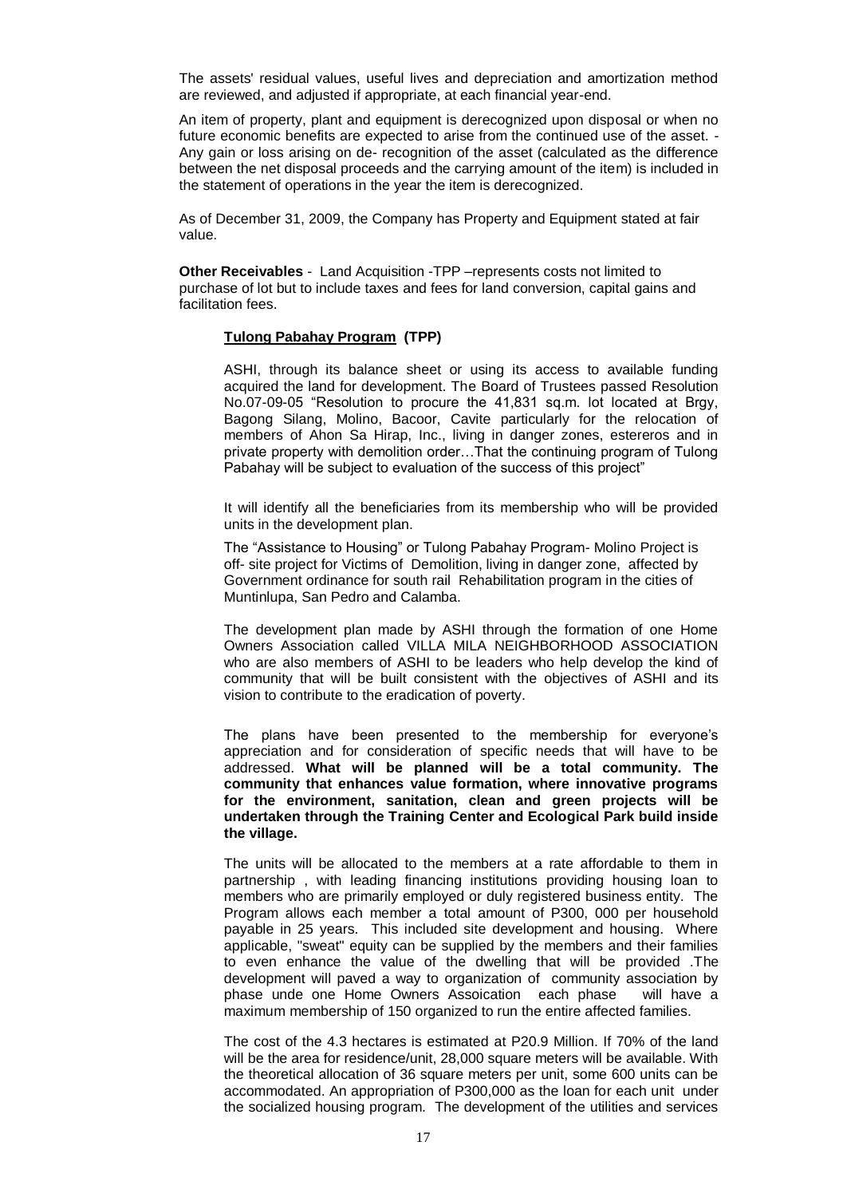The assets' residual values, useful lives and depreciation and amortization method are reviewed, and adjusted if appropriate, at each financial year-end.

An item of property, plant and equipment is derecognized upon disposal or when no future economic benefits are expected to arise from the continued use of the asset. - Any gain or loss arising on de- recognition of the asset (calculated as the difference between the net disposal proceeds and the carrying amount of the item) is included in the statement of operations in the year the item is derecognized.

As of December 31, 2009, the Company has Property and Equipment stated at fair value.

**Other Receivables** - Land Acquisition -TPP –represents costs not limited to purchase of lot but to include taxes and fees for land conversion, capital gains and facilitation fees.

#### **Tulong Pabahay Program (TPP)**

ASHI, through its balance sheet or using its access to available funding acquired the land for development. The Board of Trustees passed Resolution No.07-09-05 "Resolution to procure the 41,831 sq.m. lot located at Brgy, Bagong Silang, Molino, Bacoor, Cavite particularly for the relocation of members of Ahon Sa Hirap, Inc., living in danger zones, estereros and in private property with demolition order…That the continuing program of Tulong Pabahay will be subject to evaluation of the success of this project"

It will identify all the beneficiaries from its membership who will be provided units in the development plan.

The "Assistance to Housing" or Tulong Pabahay Program- Molino Project is off- site project for Victims of Demolition, living in danger zone, affected by Government ordinance for south rail Rehabilitation program in the cities of Muntinlupa, San Pedro and Calamba.

The development plan made by ASHI through the formation of one Home Owners Association called VILLA MILA NEIGHBORHOOD ASSOCIATION who are also members of ASHI to be leaders who help develop the kind of community that will be built consistent with the objectives of ASHI and its vision to contribute to the eradication of poverty.

The plans have been presented to the membership for everyone's appreciation and for consideration of specific needs that will have to be addressed. **What will be planned will be a total community. The community that enhances value formation, where innovative programs for the environment, sanitation, clean and green projects will be undertaken through the Training Center and Ecological Park build inside the village.**

The units will be allocated to the members at a rate affordable to them in partnership , with leading financing institutions providing housing loan to members who are primarily employed or duly registered business entity. The Program allows each member a total amount of P300, 000 per household payable in 25 years. This included site development and housing. Where applicable, "sweat" equity can be supplied by the members and their families to even enhance the value of the dwelling that will be provided .The development will paved a way to organization of community association by phase unde one Home Owners Assoication each phase will have a maximum membership of 150 organized to run the entire affected families.

The cost of the 4.3 hectares is estimated at P20.9 Million. If 70% of the land will be the area for residence/unit, 28,000 square meters will be available. With the theoretical allocation of 36 square meters per unit, some 600 units can be accommodated. An appropriation of P300,000 as the loan for each unit under the socialized housing program. The development of the utilities and services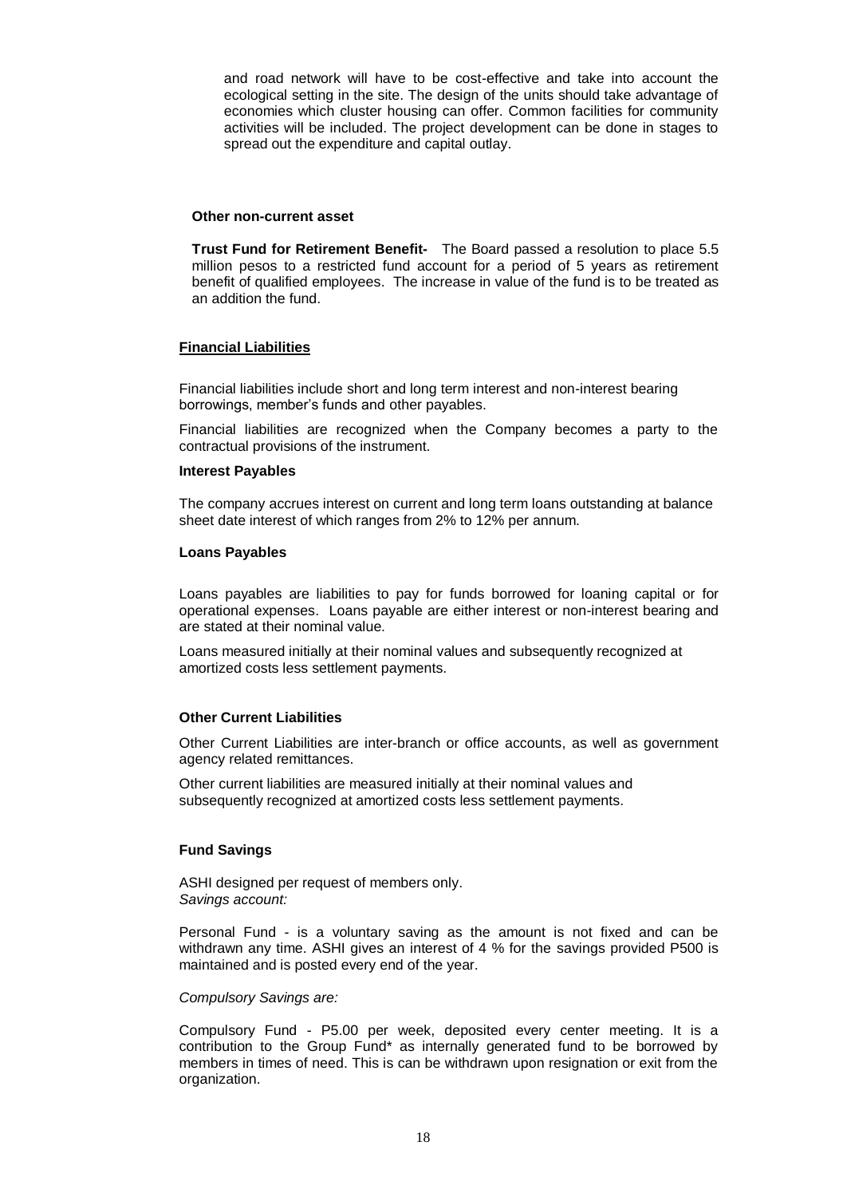and road network will have to be cost-effective and take into account the ecological setting in the site. The design of the units should take advantage of economies which cluster housing can offer. Common facilities for community activities will be included. The project development can be done in stages to spread out the expenditure and capital outlay.

#### **Other non-current asset**

**Trust Fund for Retirement Benefit-** The Board passed a resolution to place 5.5 million pesos to a restricted fund account for a period of 5 years as retirement benefit of qualified employees. The increase in value of the fund is to be treated as an addition the fund.

#### **Financial Liabilities**

Financial liabilities include short and long term interest and non-interest bearing borrowings, member's funds and other payables.

Financial liabilities are recognized when the Company becomes a party to the contractual provisions of the instrument.

#### **Interest Payables**

The company accrues interest on current and long term loans outstanding at balance sheet date interest of which ranges from 2% to 12% per annum.

#### **Loans Payables**

Loans payables are liabilities to pay for funds borrowed for loaning capital or for operational expenses. Loans payable are either interest or non-interest bearing and are stated at their nominal value.

Loans measured initially at their nominal values and subsequently recognized at amortized costs less settlement payments.

#### **Other Current Liabilities**

Other Current Liabilities are inter-branch or office accounts, as well as government agency related remittances.

Other current liabilities are measured initially at their nominal values and subsequently recognized at amortized costs less settlement payments.

#### **Fund Savings**

 ASHI designed per request of members only. *Savings account:*

Personal Fund - is a voluntary saving as the amount is not fixed and can be withdrawn any time. ASHI gives an interest of 4 % for the savings provided P500 is maintained and is posted every end of the year.

#### *Compulsory Savings are:*

Compulsory Fund - P5.00 per week, deposited every center meeting. It is a contribution to the Group Fund\* as internally generated fund to be borrowed by members in times of need. This is can be withdrawn upon resignation or exit from the organization.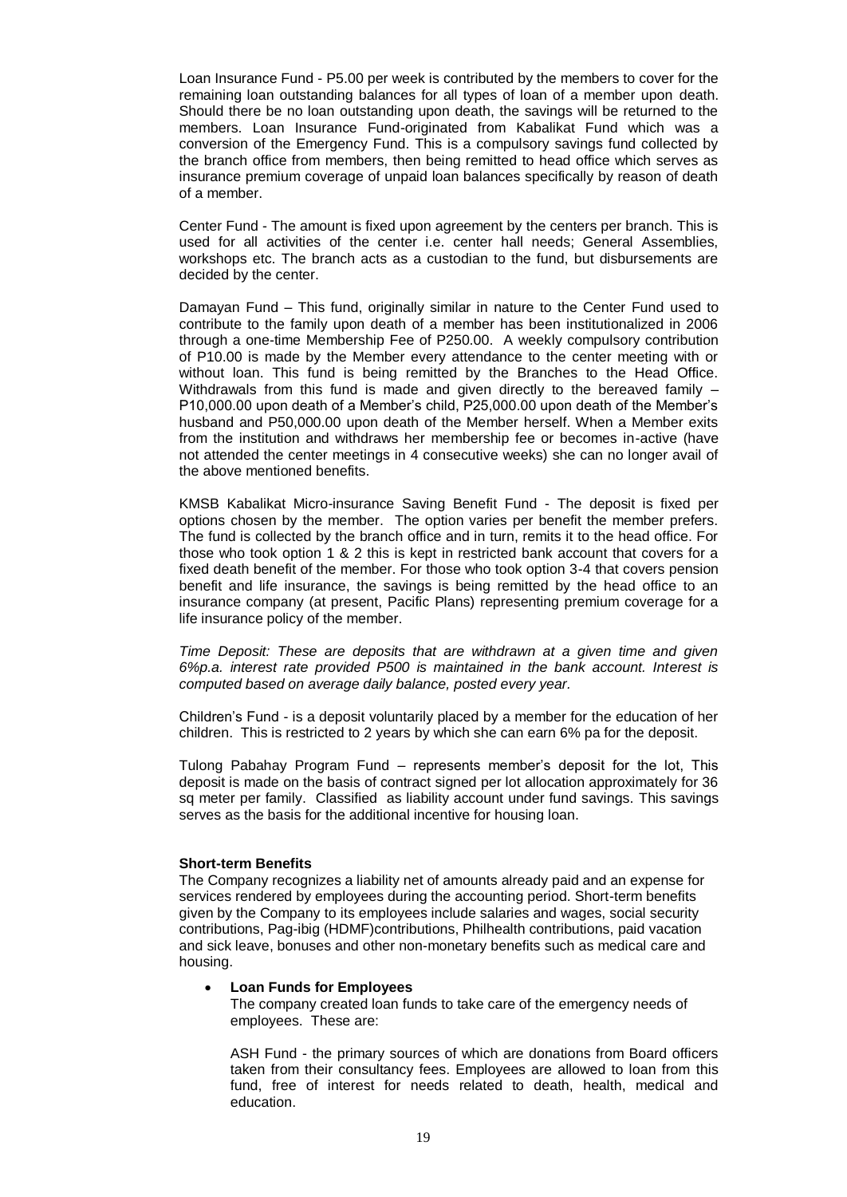Loan Insurance Fund - P5.00 per week is contributed by the members to cover for the remaining loan outstanding balances for all types of loan of a member upon death. Should there be no loan outstanding upon death, the savings will be returned to the members. Loan Insurance Fund-originated from Kabalikat Fund which was a conversion of the Emergency Fund. This is a compulsory savings fund collected by the branch office from members, then being remitted to head office which serves as insurance premium coverage of unpaid loan balances specifically by reason of death of a member.

Center Fund - The amount is fixed upon agreement by the centers per branch. This is used for all activities of the center i.e. center hall needs; General Assemblies, workshops etc. The branch acts as a custodian to the fund, but disbursements are decided by the center.

Damayan Fund – This fund, originally similar in nature to the Center Fund used to contribute to the family upon death of a member has been institutionalized in 2006 through a one-time Membership Fee of P250.00. A weekly compulsory contribution of P10.00 is made by the Member every attendance to the center meeting with or without loan. This fund is being remitted by the Branches to the Head Office. Withdrawals from this fund is made and given directly to the bereaved family -P10,000.00 upon death of a Member's child, P25,000.00 upon death of the Member's husband and P50,000.00 upon death of the Member herself. When a Member exits from the institution and withdraws her membership fee or becomes in-active (have not attended the center meetings in 4 consecutive weeks) she can no longer avail of the above mentioned benefits.

KMSB Kabalikat Micro-insurance Saving Benefit Fund - The deposit is fixed per options chosen by the member. The option varies per benefit the member prefers. The fund is collected by the branch office and in turn, remits it to the head office. For those who took option 1 & 2 this is kept in restricted bank account that covers for a fixed death benefit of the member. For those who took option 3-4 that covers pension benefit and life insurance, the savings is being remitted by the head office to an insurance company (at present, Pacific Plans) representing premium coverage for a life insurance policy of the member.

*Time Deposit: These are deposits that are withdrawn at a given time and given 6%p.a. interest rate provided P500 is maintained in the bank account. Interest is computed based on average daily balance, posted every year.*

Children's Fund - is a deposit voluntarily placed by a member for the education of her children. This is restricted to 2 years by which she can earn 6% pa for the deposit.

Tulong Pabahay Program Fund – represents member's deposit for the lot, This deposit is made on the basis of contract signed per lot allocation approximately for 36 sq meter per family. Classified as liability account under fund savings. This savings serves as the basis for the additional incentive for housing loan.

#### **Short-term Benefits**

The Company recognizes a liability net of amounts already paid and an expense for services rendered by employees during the accounting period. Short-term benefits given by the Company to its employees include salaries and wages, social security contributions, Pag-ibig (HDMF)contributions, Philhealth contributions, paid vacation and sick leave, bonuses and other non-monetary benefits such as medical care and housing.

#### **Loan Funds for Employees**

 The company created loan funds to take care of the emergency needs of employees. These are:

ASH Fund - the primary sources of which are donations from Board officers taken from their consultancy fees. Employees are allowed to loan from this fund, free of interest for needs related to death, health, medical and education.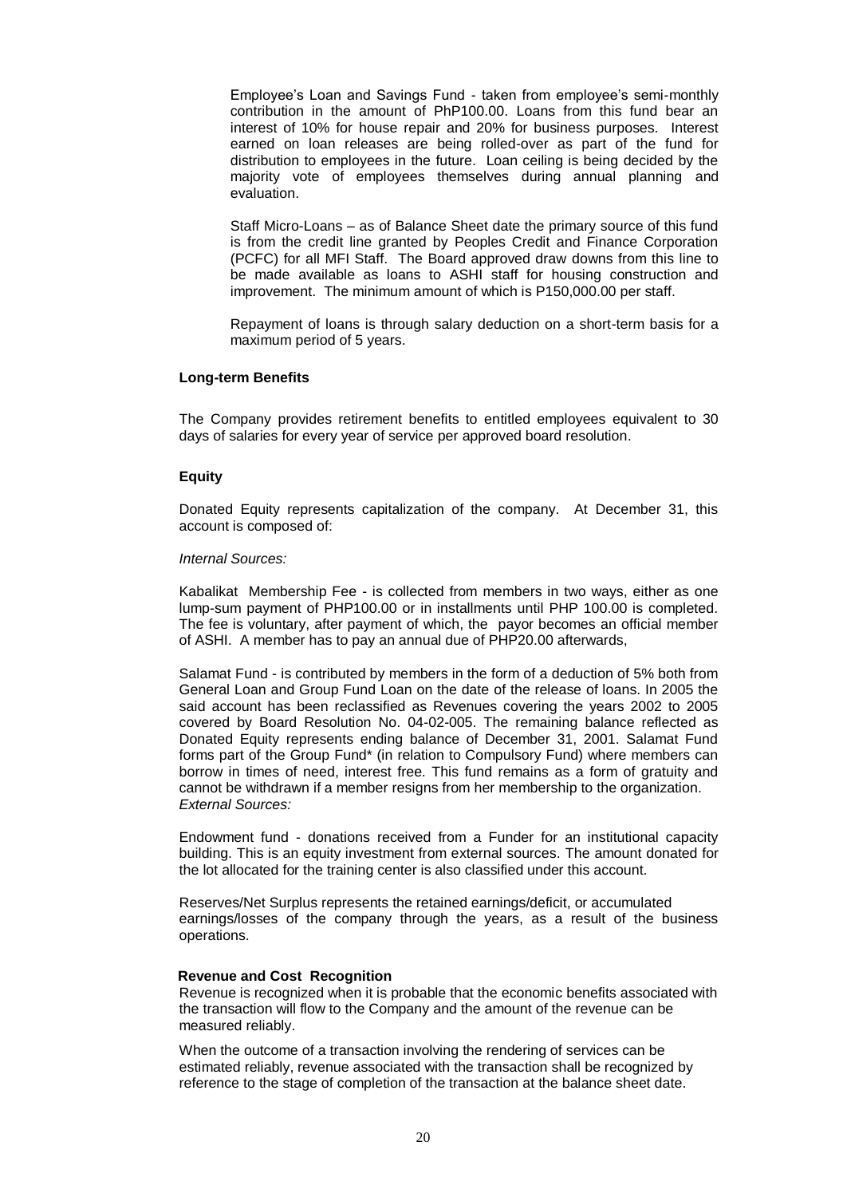Employee's Loan and Savings Fund - taken from employee's semi-monthly contribution in the amount of PhP100.00. Loans from this fund bear an interest of 10% for house repair and 20% for business purposes. Interest earned on loan releases are being rolled-over as part of the fund for distribution to employees in the future. Loan ceiling is being decided by the majority vote of employees themselves during annual planning and evaluation.

Staff Micro-Loans – as of Balance Sheet date the primary source of this fund is from the credit line granted by Peoples Credit and Finance Corporation (PCFC) for all MFI Staff. The Board approved draw downs from this line to be made available as loans to ASHI staff for housing construction and improvement. The minimum amount of which is P150,000.00 per staff.

Repayment of loans is through salary deduction on a short-term basis for a maximum period of 5 years.

#### **Long-term Benefits**

The Company provides retirement benefits to entitled employees equivalent to 30 days of salaries for every year of service per approved board resolution.

#### **Equity**

Donated Equity represents capitalization of the company. At December 31, this account is composed of:

#### *Internal Sources:*

Kabalikat Membership Fee - is collected from members in two ways, either as one lump-sum payment of PHP100.00 or in installments until PHP 100.00 is completed. The fee is voluntary, after payment of which, the payor becomes an official member of ASHI. A member has to pay an annual due of PHP20.00 afterwards,

Salamat Fund - is contributed by members in the form of a deduction of 5% both from General Loan and Group Fund Loan on the date of the release of loans. In 2005 the said account has been reclassified as Revenues covering the years 2002 to 2005 covered by Board Resolution No. 04-02-005. The remaining balance reflected as Donated Equity represents ending balance of December 31, 2001. Salamat Fund forms part of the Group Fund\* (in relation to Compulsory Fund) where members can borrow in times of need, interest free. This fund remains as a form of gratuity and cannot be withdrawn if a member resigns from her membership to the organization. *External Sources:*

Endowment fund - donations received from a Funder for an institutional capacity building. This is an equity investment from external sources. The amount donated for the lot allocated for the training center is also classified under this account.

 Reserves/Net Surplus represents the retained earnings/deficit, or accumulated earnings/losses of the company through the years, as a result of the business operations.

#### **Revenue and Cost Recognition**

Revenue is recognized when it is probable that the economic benefits associated with the transaction will flow to the Company and the amount of the revenue can be measured reliably.

When the outcome of a transaction involving the rendering of services can be estimated reliably, revenue associated with the transaction shall be recognized by reference to the stage of completion of the transaction at the balance sheet date.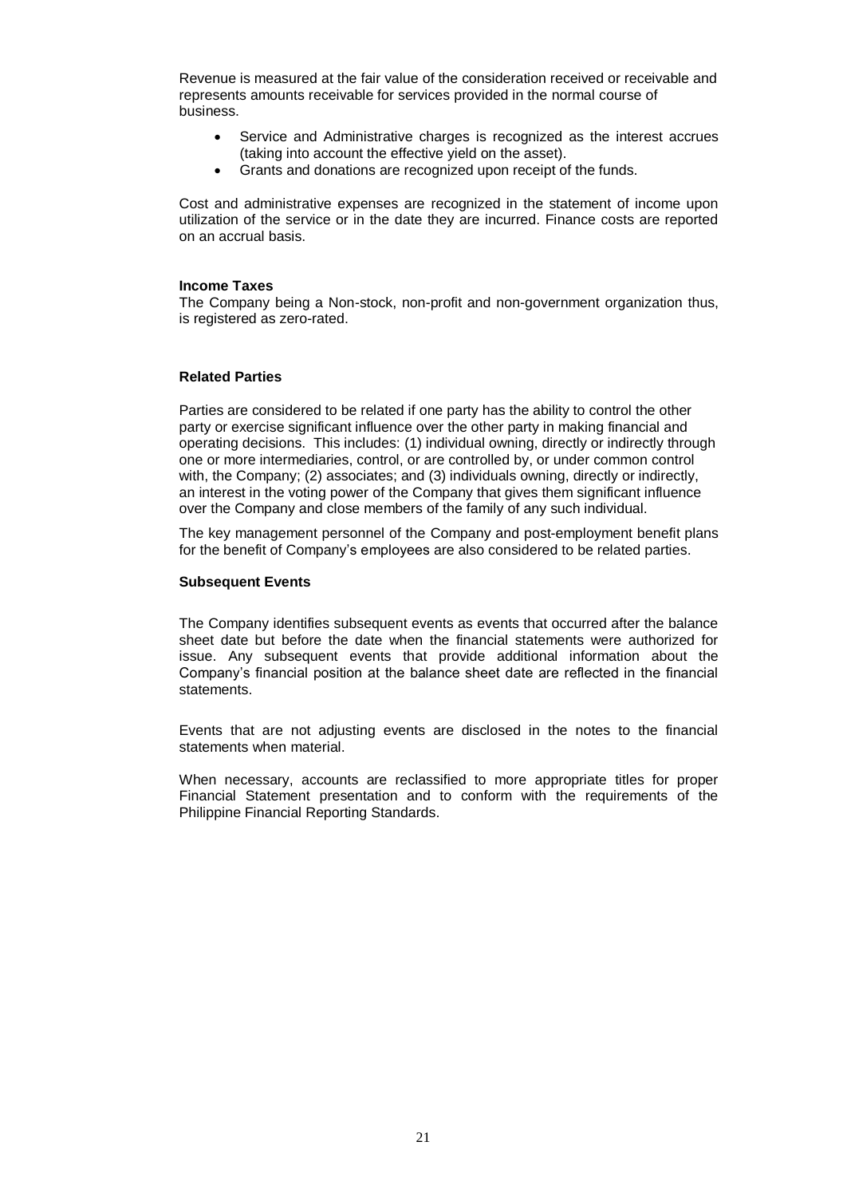Revenue is measured at the fair value of the consideration received or receivable and represents amounts receivable for services provided in the normal course of business.

- Service and Administrative charges is recognized as the interest accrues (taking into account the effective yield on the asset).
- Grants and donations are recognized upon receipt of the funds.

Cost and administrative expenses are recognized in the statement of income upon utilization of the service or in the date they are incurred. Finance costs are reported on an accrual basis.

#### **Income Taxes**

The Company being a Non-stock, non-profit and non-government organization thus, is registered as zero-rated.

#### **Related Parties**

Parties are considered to be related if one party has the ability to control the other party or exercise significant influence over the other party in making financial and operating decisions. This includes: (1) individual owning, directly or indirectly through one or more intermediaries, control, or are controlled by, or under common control with, the Company; (2) associates; and (3) individuals owning, directly or indirectly, an interest in the voting power of the Company that gives them significant influence over the Company and close members of the family of any such individual.

The key management personnel of the Company and post-employment benefit plans for the benefit of Company's employees are also considered to be related parties.

#### **Subsequent Events**

The Company identifies subsequent events as events that occurred after the balance sheet date but before the date when the financial statements were authorized for issue. Any subsequent events that provide additional information about the Company's financial position at the balance sheet date are reflected in the financial statements.

Events that are not adjusting events are disclosed in the notes to the financial statements when material.

When necessary, accounts are reclassified to more appropriate titles for proper Financial Statement presentation and to conform with the requirements of the Philippine Financial Reporting Standards.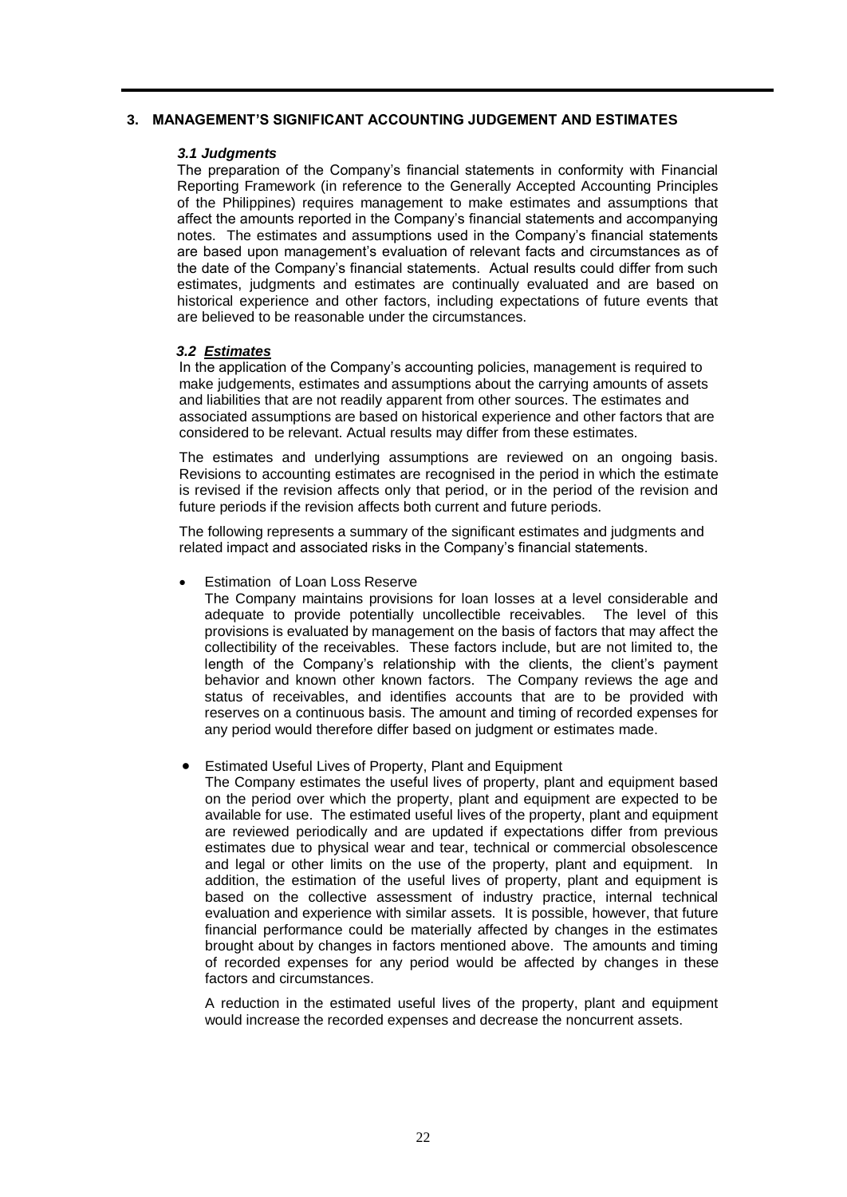### **3. MANAGEMENT'S SIGNIFICANT ACCOUNTING JUDGEMENT AND ESTIMATES**

### *3.1 Judgments*

The preparation of the Company's financial statements in conformity with Financial Reporting Framework (in reference to the Generally Accepted Accounting Principles of the Philippines) requires management to make estimates and assumptions that affect the amounts reported in the Company's financial statements and accompanying notes. The estimates and assumptions used in the Company's financial statements are based upon management's evaluation of relevant facts and circumstances as of the date of the Company's financial statements. Actual results could differ from such estimates, judgments and estimates are continually evaluated and are based on historical experience and other factors, including expectations of future events that are believed to be reasonable under the circumstances.

### *3.2 Estimates*

In the application of the Company's accounting policies, management is required to make judgements, estimates and assumptions about the carrying amounts of assets and liabilities that are not readily apparent from other sources. The estimates and associated assumptions are based on historical experience and other factors that are considered to be relevant. Actual results may differ from these estimates.

The estimates and underlying assumptions are reviewed on an ongoing basis. Revisions to accounting estimates are recognised in the period in which the estimate is revised if the revision affects only that period, or in the period of the revision and future periods if the revision affects both current and future periods.

The following represents a summary of the significant estimates and judgments and related impact and associated risks in the Company's financial statements.

#### Estimation of Loan Loss Reserve

The Company maintains provisions for loan losses at a level considerable and adequate to provide potentially uncollectible receivables. The level of this provisions is evaluated by management on the basis of factors that may affect the collectibility of the receivables. These factors include, but are not limited to, the length of the Company's relationship with the clients, the client's payment behavior and known other known factors. The Company reviews the age and status of receivables, and identifies accounts that are to be provided with reserves on a continuous basis. The amount and timing of recorded expenses for any period would therefore differ based on judgment or estimates made.

#### Estimated Useful Lives of Property, Plant and Equipment

The Company estimates the useful lives of property, plant and equipment based on the period over which the property, plant and equipment are expected to be available for use. The estimated useful lives of the property, plant and equipment are reviewed periodically and are updated if expectations differ from previous estimates due to physical wear and tear, technical or commercial obsolescence and legal or other limits on the use of the property, plant and equipment. In addition, the estimation of the useful lives of property, plant and equipment is based on the collective assessment of industry practice, internal technical evaluation and experience with similar assets. It is possible, however, that future financial performance could be materially affected by changes in the estimates brought about by changes in factors mentioned above. The amounts and timing of recorded expenses for any period would be affected by changes in these factors and circumstances.

A reduction in the estimated useful lives of the property, plant and equipment would increase the recorded expenses and decrease the noncurrent assets.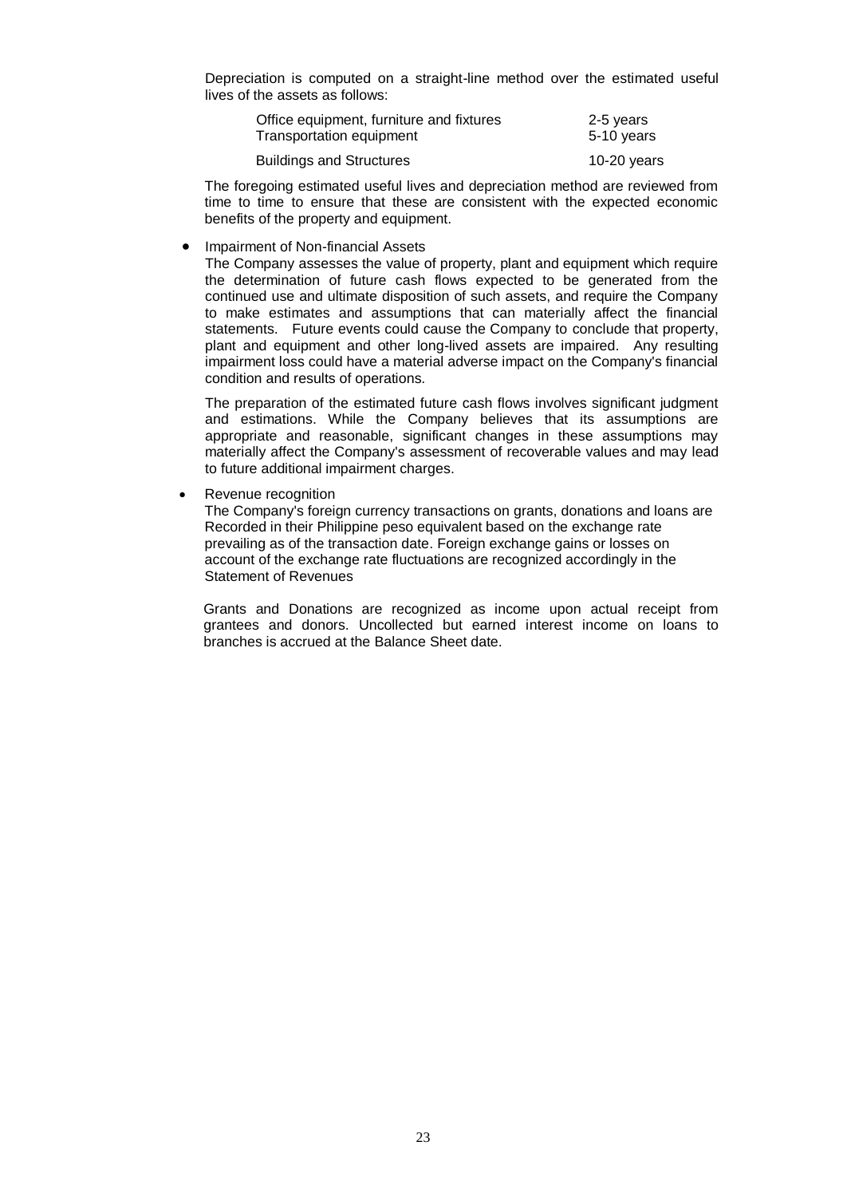Depreciation is computed on a straight-line method over the estimated useful lives of the assets as follows:

| Office equipment, furniture and fixtures | 2-5 years   |
|------------------------------------------|-------------|
| Transportation equipment                 | 5-10 years  |
| <b>Buildings and Structures</b>          | 10-20 years |

The foregoing estimated useful lives and depreciation method are reviewed from time to time to ensure that these are consistent with the expected economic benefits of the property and equipment.

Impairment of Non-financial Assets

The Company assesses the value of property, plant and equipment which require the determination of future cash flows expected to be generated from the continued use and ultimate disposition of such assets, and require the Company to make estimates and assumptions that can materially affect the financial statements. Future events could cause the Company to conclude that property, plant and equipment and other long-lived assets are impaired. Any resulting impairment loss could have a material adverse impact on the Company's financial condition and results of operations.

The preparation of the estimated future cash flows involves significant judgment and estimations. While the Company believes that its assumptions are appropriate and reasonable, significant changes in these assumptions may materially affect the Company's assessment of recoverable values and may lead to future additional impairment charges.

Revenue recognition

The Company's foreign currency transactions on grants, donations and loans are Recorded in their Philippine peso equivalent based on the exchange rate prevailing as of the transaction date. Foreign exchange gains or losses on account of the exchange rate fluctuations are recognized accordingly in the Statement of Revenues

Grants and Donations are recognized as income upon actual receipt from grantees and donors. Uncollected but earned interest income on loans to branches is accrued at the Balance Sheet date.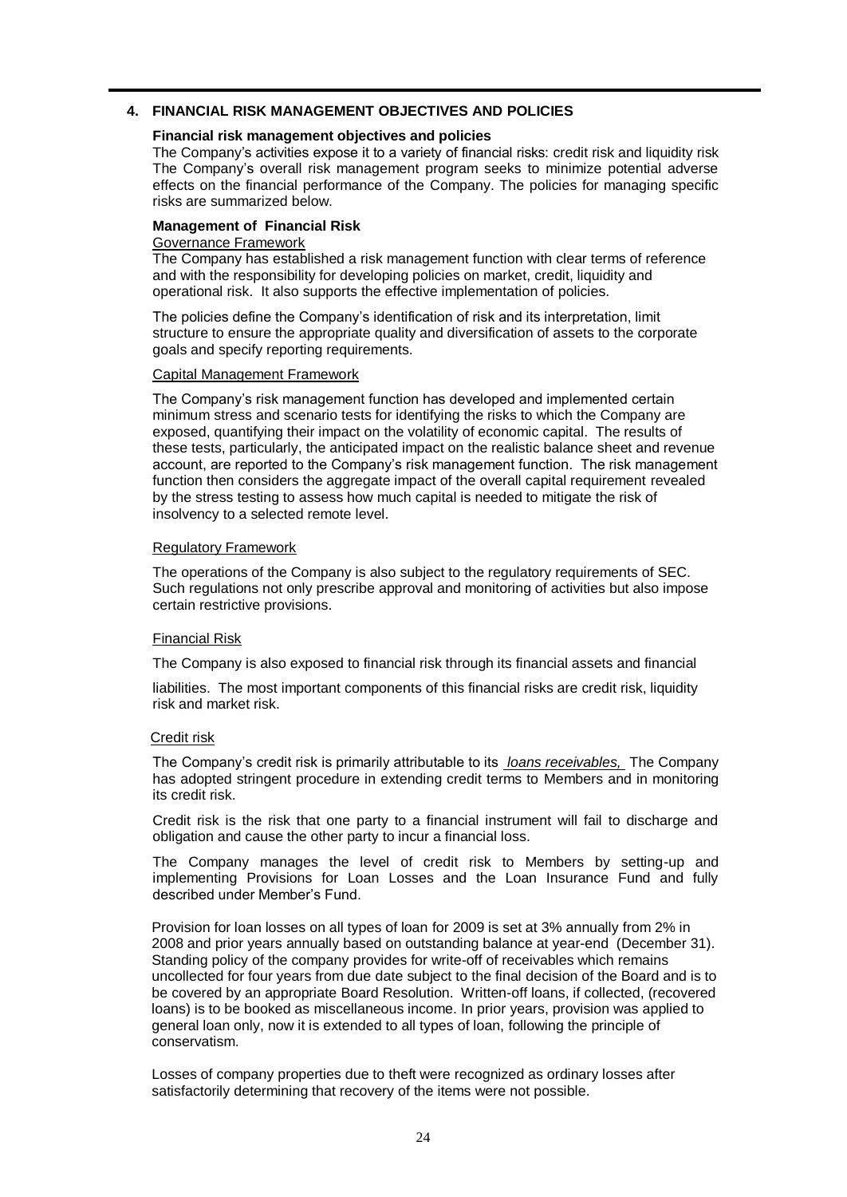## **4. FINANCIAL RISK MANAGEMENT OBJECTIVES AND POLICIES**

#### **Financial risk management objectives and policies**

The Company's activities expose it to a variety of financial risks: credit risk and liquidity risk The Company's overall risk management program seeks to minimize potential adverse effects on the financial performance of the Company. The policies for managing specific risks are summarized below.

### **Management of Financial Risk**

### Governance Framework

The Company has established a risk management function with clear terms of reference and with the responsibility for developing policies on market, credit, liquidity and operational risk. It also supports the effective implementation of policies.

The policies define the Company's identification of risk and its interpretation, limit structure to ensure the appropriate quality and diversification of assets to the corporate goals and specify reporting requirements.

#### Capital Management Framework

The Company's risk management function has developed and implemented certain minimum stress and scenario tests for identifying the risks to which the Company are exposed, quantifying their impact on the volatility of economic capital. The results of these tests, particularly, the anticipated impact on the realistic balance sheet and revenue account, are reported to the Company's risk management function. The risk management function then considers the aggregate impact of the overall capital requirement revealed by the stress testing to assess how much capital is needed to mitigate the risk of insolvency to a selected remote level.

### Regulatory Framework

The operations of the Company is also subject to the regulatory requirements of SEC. Such regulations not only prescribe approval and monitoring of activities but also impose certain restrictive provisions.

## Financial Risk

The Company is also exposed to financial risk through its financial assets and financial

liabilities. The most important components of this financial risks are credit risk, liquidity risk and market risk.

## Credit risk

The Company's credit risk is primarily attributable to its *loans receivables,* The Company has adopted stringent procedure in extending credit terms to Members and in monitoring its credit risk.

Credit risk is the risk that one party to a financial instrument will fail to discharge and obligation and cause the other party to incur a financial loss.

The Company manages the level of credit risk to Members by setting-up and implementing Provisions for Loan Losses and the Loan Insurance Fund and fully described under Member's Fund.

 Provision for loan losses on all types of loan for 2009 is set at 3% annually from 2% in 2008 and prior years annually based on outstanding balance at year-end (December 31). Standing policy of the company provides for write-off of receivables which remains uncollected for four years from due date subject to the final decision of the Board and is to be covered by an appropriate Board Resolution. Written-off loans, if collected, (recovered loans) is to be booked as miscellaneous income. In prior years, provision was applied to general loan only, now it is extended to all types of loan, following the principle of conservatism.

 Losses of company properties due to theft were recognized as ordinary losses after satisfactorily determining that recovery of the items were not possible.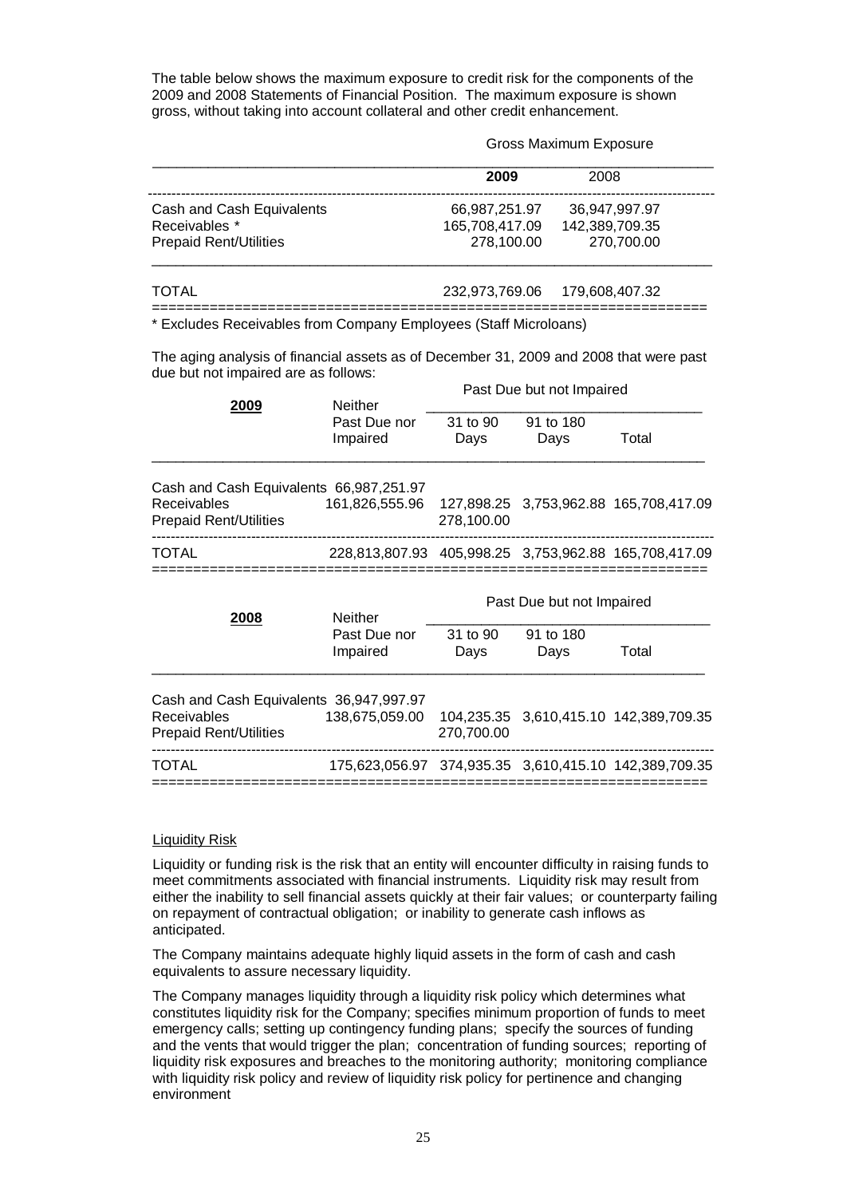The table below shows the maximum exposure to credit risk for the components of the 2009 and 2008 Statements of Financial Position. The maximum exposure is shown gross, without taking into account collateral and other credit enhancement.

Gross Maximum Exposure

|                               | 2009           | 2008           |
|-------------------------------|----------------|----------------|
| Cash and Cash Equivalents     | 66,987,251.97  | 36,947,997.97  |
| Receivables *                 | 165,708,417.09 | 142,389,709.35 |
| <b>Prepaid Rent/Utilities</b> | 278,100.00     | 270,700.00     |
|                               |                |                |
| TOTAL                         | 232,973,769.06 | 179,608,407.32 |

 =================================================================== \* Excludes Receivables from Company Employees (Staff Microloans)

 The aging analysis of financial assets as of December 31, 2009 and 2008 that were past due but not impaired are as follows: Past Due but not Impaired

| 2009                                                                                    | <b>Neither</b>           |                  | Last Duc Dut Hot Impaireu |                                                       |
|-----------------------------------------------------------------------------------------|--------------------------|------------------|---------------------------|-------------------------------------------------------|
|                                                                                         | Past Due nor<br>Impaired | 31 to 90<br>Days | 91 to 180<br>Days         | Total                                                 |
| Cash and Cash Equivalents 66,987,251.97<br>Receivables<br><b>Prepaid Rent/Utilities</b> | 161,826,555.96           | 278,100.00       |                           | 127,898.25 3,753,962.88 165,708,417.09                |
| TOTAL                                                                                   |                          |                  |                           | 228,813,807.93 405,998.25 3,753,962.88 165,708,417.09 |
| 2008                                                                                    | <b>Neither</b>           |                  | Past Due but not Impaired |                                                       |
|                                                                                         | Past Due nor<br>Impaired | 31 to 90<br>Days | 91 to 180<br>Days         | Total                                                 |
| Cash and Cash Equivalents 36,947,997.97                                                 |                          |                  |                           |                                                       |
| Receivables<br><b>Prepaid Rent/Utilities</b>                                            | 138,675,059.00           | 270,700.00       |                           | 104,235.35 3,610,415.10 142,389,709.35                |
|                                                                                         |                          |                  |                           |                                                       |

#### Liquidity Risk

Liquidity or funding risk is the risk that an entity will encounter difficulty in raising funds to meet commitments associated with financial instruments. Liquidity risk may result from either the inability to sell financial assets quickly at their fair values; or counterparty failing on repayment of contractual obligation; or inability to generate cash inflows as anticipated.

The Company maintains adequate highly liquid assets in the form of cash and cash equivalents to assure necessary liquidity.

The Company manages liquidity through a liquidity risk policy which determines what constitutes liquidity risk for the Company; specifies minimum proportion of funds to meet emergency calls; setting up contingency funding plans; specify the sources of funding and the vents that would trigger the plan; concentration of funding sources; reporting of liquidity risk exposures and breaches to the monitoring authority; monitoring compliance with liquidity risk policy and review of liquidity risk policy for pertinence and changing environment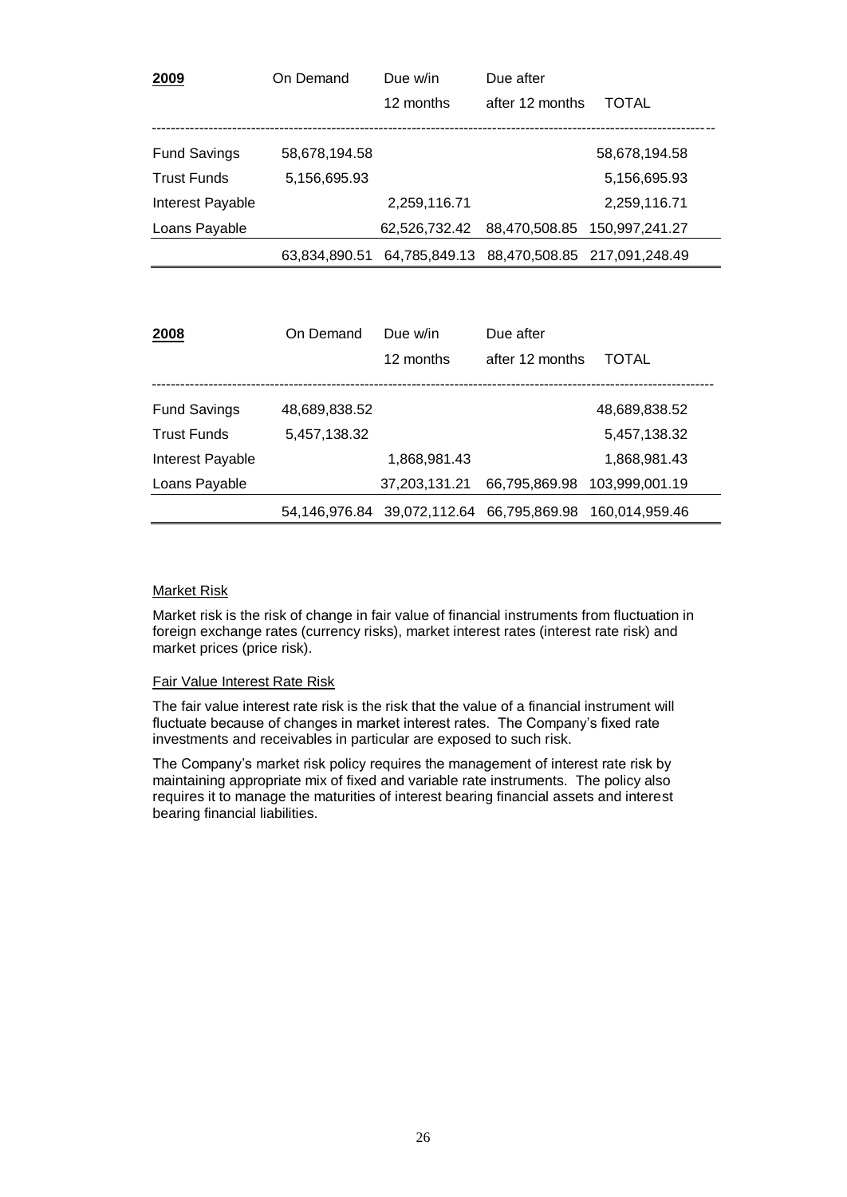| 2009                | On Demand     | Due w/in      | Due after       |                                            |
|---------------------|---------------|---------------|-----------------|--------------------------------------------|
|                     |               | 12 months     | after 12 months | TOTAL                                      |
|                     |               |               |                 |                                            |
| <b>Fund Savings</b> | 58,678,194.58 |               |                 | 58,678,194.58                              |
| <b>Trust Funds</b>  | 5.156.695.93  |               |                 | 5,156,695.93                               |
| Interest Payable    |               | 2,259,116.71  |                 | 2,259,116.71                               |
| Loans Payable       |               | 62,526,732.42 | 88,470,508.85   | 150,997,241.27                             |
|                     | 63,834,890.51 |               |                 | 64,785,849.13 88,470,508.85 217,091,248.49 |

| 2008                | On Demand     | Due w/in                    | Due after       |                |
|---------------------|---------------|-----------------------------|-----------------|----------------|
|                     |               | 12 months                   | after 12 months | TOTAL          |
|                     |               |                             |                 |                |
| <b>Fund Savings</b> | 48,689,838.52 |                             |                 | 48,689,838.52  |
| <b>Trust Funds</b>  | 5,457,138.32  |                             |                 | 5,457,138.32   |
| Interest Payable    |               | 1,868,981.43                |                 | 1,868,981.43   |
| Loans Payable       |               | 37,203,131.21               | 66,795,869.98   | 103,999,001.19 |
|                     |               | 54,146,976.84 39,072,112.64 | 66,795,869.98   | 160,014,959.46 |

## Market Risk

Market risk is the risk of change in fair value of financial instruments from fluctuation in foreign exchange rates (currency risks), market interest rates (interest rate risk) and market prices (price risk).

#### Fair Value Interest Rate Risk

The fair value interest rate risk is the risk that the value of a financial instrument will fluctuate because of changes in market interest rates. The Company's fixed rate investments and receivables in particular are exposed to such risk.

The Company's market risk policy requires the management of interest rate risk by maintaining appropriate mix of fixed and variable rate instruments. The policy also requires it to manage the maturities of interest bearing financial assets and interest bearing financial liabilities.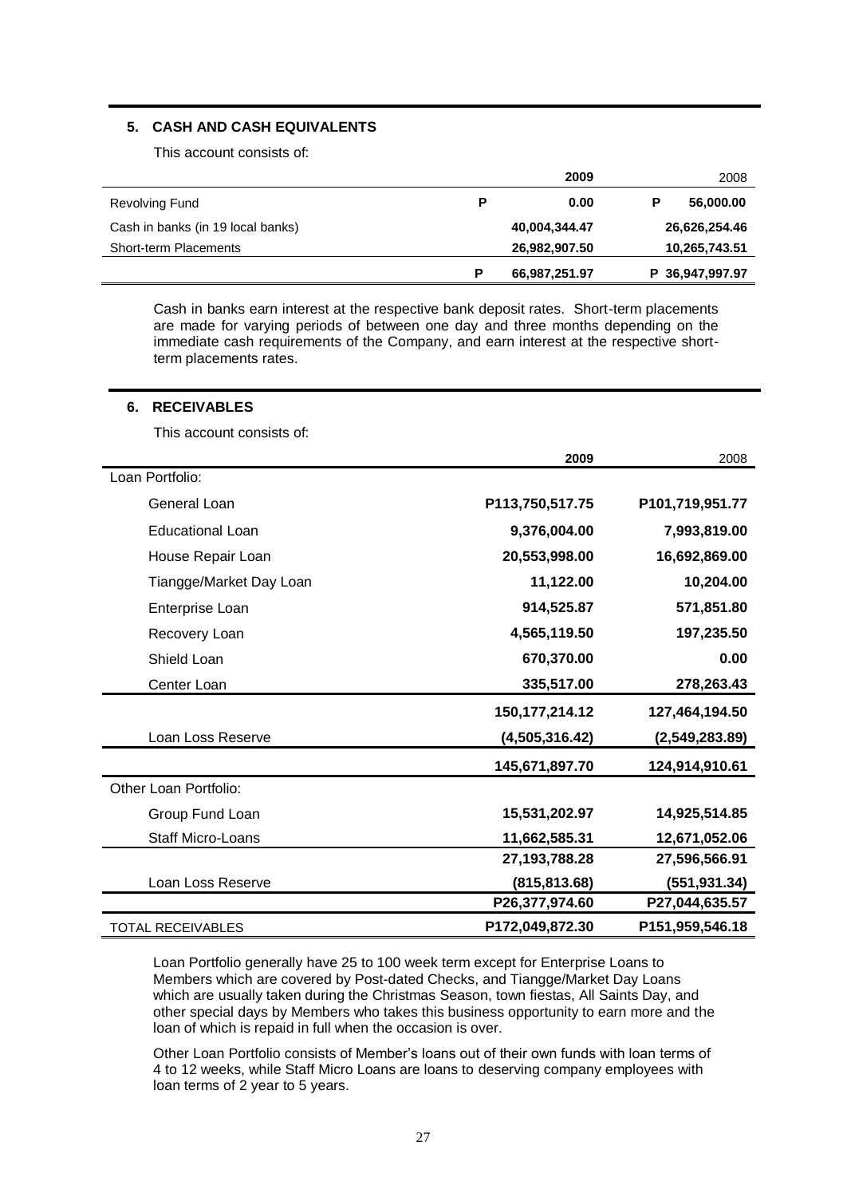#### ٦ **5. CASH AND CASH EQUIVALENTS**

This account consists of:

|                                   |   | 2009          | 2008            |
|-----------------------------------|---|---------------|-----------------|
| Revolving Fund                    | Р | 0.00          | 56,000.00       |
| Cash in banks (in 19 local banks) |   | 40,004,344.47 | 26,626,254.46   |
| <b>Short-term Placements</b>      |   | 26,982,907.50 | 10,265,743.51   |
|                                   | P | 66,987,251.97 | P 36,947,997.97 |

Cash in banks earn interest at the respective bank deposit rates. Short-term placements are made for varying periods of between one day and three months depending on the immediate cash requirements of the Company, and earn interest at the respective shortterm placements rates.

#### **6. RECEIVABLES**

This account consists of:

|                          | 2009              | 2008            |
|--------------------------|-------------------|-----------------|
| Loan Portfolio:          |                   |                 |
| General Loan             | P113,750,517.75   | P101,719,951.77 |
| <b>Educational Loan</b>  | 9,376,004.00      | 7,993,819.00    |
| House Repair Loan        | 20,553,998.00     | 16,692,869.00   |
| Tiangge/Market Day Loan  | 11,122.00         | 10,204.00       |
| Enterprise Loan          | 914,525.87        | 571,851.80      |
| Recovery Loan            | 4,565,119.50      | 197,235.50      |
| Shield Loan              | 670,370.00        | 0.00            |
| Center Loan              | 335,517.00        | 278,263.43      |
|                          | 150, 177, 214. 12 | 127,464,194.50  |
| Loan Loss Reserve        | (4, 505, 316.42)  | (2,549,283.89)  |
|                          | 145,671,897.70    | 124,914,910.61  |
| Other Loan Portfolio:    |                   |                 |
| Group Fund Loan          | 15,531,202.97     | 14,925,514.85   |
| Staff Micro-Loans        | 11,662,585.31     | 12,671,052.06   |
|                          | 27, 193, 788. 28  | 27,596,566.91   |
| Loan Loss Reserve        | (815, 813.68)     | (551, 931.34)   |
|                          | P26,377,974.60    | P27,044,635.57  |
| <b>TOTAL RECEIVABLES</b> | P172,049,872.30   | P151,959,546.18 |

Loan Portfolio generally have 25 to 100 week term except for Enterprise Loans to Members which are covered by Post-dated Checks, and Tiangge/Market Day Loans which are usually taken during the Christmas Season, town fiestas, All Saints Day, and other special days by Members who takes this business opportunity to earn more and the loan of which is repaid in full when the occasion is over.

Other Loan Portfolio consists of Member's loans out of their own funds with loan terms of 4 to 12 weeks, while Staff Micro Loans are loans to deserving company employees with loan terms of 2 year to 5 years.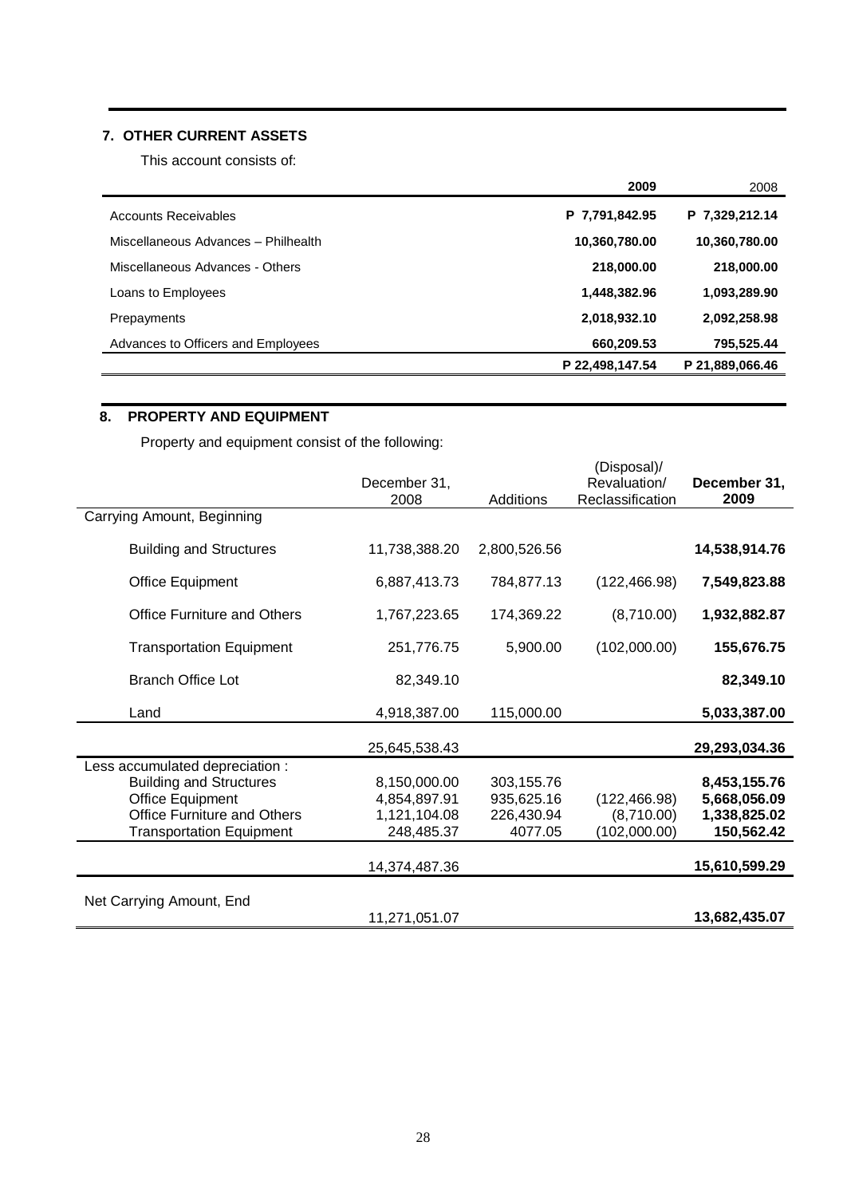## **7. OTHER CURRENT ASSETS**

This account consists of:

|                                     | 2009            | 2008            |
|-------------------------------------|-----------------|-----------------|
| <b>Accounts Receivables</b>         | P 7,791,842.95  | P 7,329,212.14  |
| Miscellaneous Advances - Philhealth | 10,360,780.00   | 10,360,780.00   |
| Miscellaneous Advances - Others     | 218,000.00      | 218,000.00      |
| Loans to Employees                  | 1,448,382.96    | 1,093,289.90    |
| Prepayments                         | 2,018,932.10    | 2,092,258.98    |
| Advances to Officers and Employees  | 660,209.53      | 795,525.44      |
|                                     | P 22,498,147.54 | P 21,889,066.46 |

## **8. PROPERTY AND EQUIPMENT**

Property and equipment consist of the following:

|                                    |                      |              | (Disposal)/                      |                      |
|------------------------------------|----------------------|--------------|----------------------------------|----------------------|
|                                    | December 31,<br>2008 | Additions    | Revaluation/<br>Reclassification | December 31,<br>2009 |
| Carrying Amount, Beginning         |                      |              |                                  |                      |
|                                    |                      |              |                                  |                      |
| <b>Building and Structures</b>     | 11,738,388.20        | 2,800,526.56 |                                  | 14,538,914.76        |
| <b>Office Equipment</b>            | 6,887,413.73         | 784,877.13   | (122, 466.98)                    | 7,549,823.88         |
| <b>Office Furniture and Others</b> | 1,767,223.65         | 174,369.22   | (8,710.00)                       | 1,932,882.87         |
| <b>Transportation Equipment</b>    | 251,776.75           | 5,900.00     | (102,000.00)                     | 155,676.75           |
| <b>Branch Office Lot</b>           | 82,349.10            |              |                                  | 82,349.10            |
| Land                               | 4,918,387.00         | 115,000.00   |                                  | 5,033,387.00         |
|                                    | 25,645,538.43        |              |                                  | 29,293,034.36        |
| Less accumulated depreciation :    |                      |              |                                  |                      |
| <b>Building and Structures</b>     | 8,150,000.00         | 303,155.76   |                                  | 8,453,155.76         |
| Office Equipment                   | 4,854,897.91         | 935,625.16   | (122, 466.98)                    | 5,668,056.09         |
| <b>Office Furniture and Others</b> | 1,121,104.08         | 226,430.94   | (8,710.00)                       | 1,338,825.02         |
| <b>Transportation Equipment</b>    | 248,485.37           | 4077.05      | (102,000.00)                     | 150,562.42           |
|                                    | 14,374,487.36        |              |                                  | 15,610,599.29        |
| Net Carrying Amount, End           |                      |              |                                  |                      |
|                                    | 11,271,051.07        |              |                                  | 13,682,435.07        |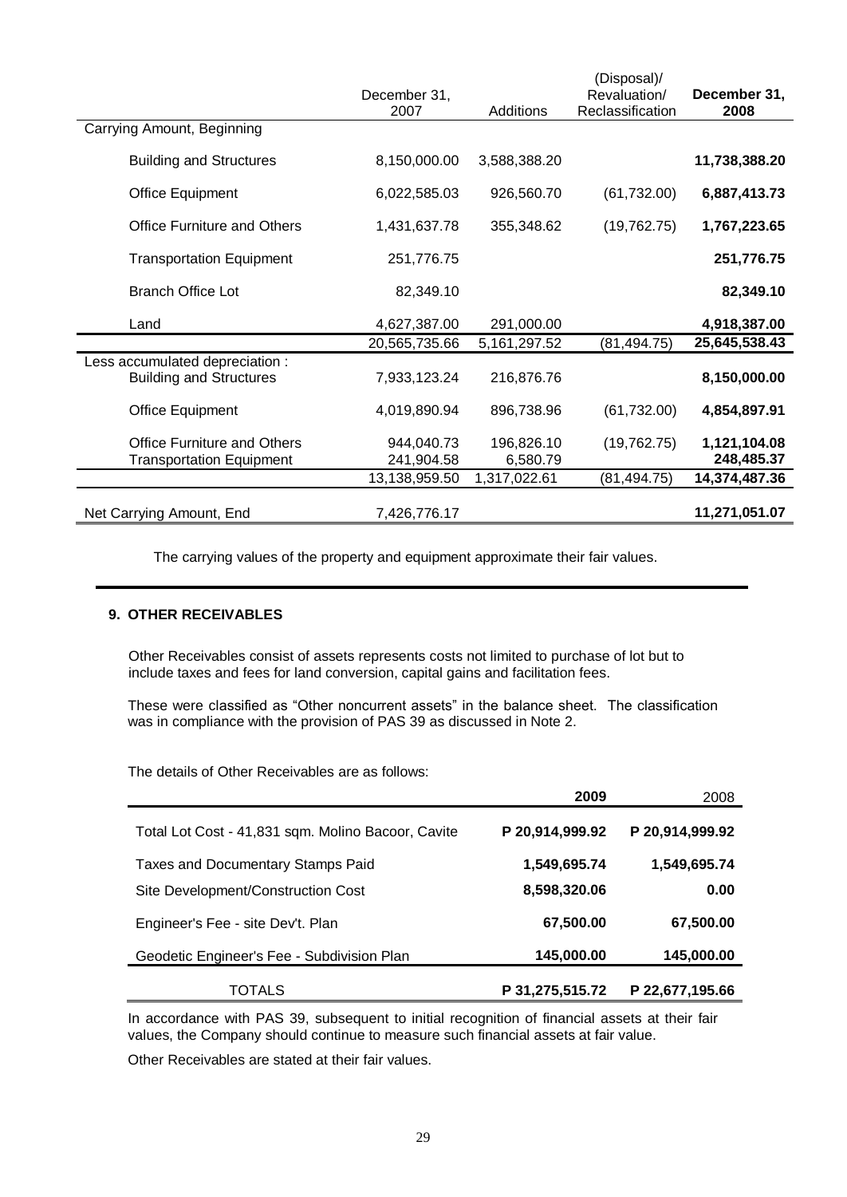|                                                                       | December 31,<br>2007     | Additions              | (Disposal)/<br>Revaluation/<br>Reclassification | December 31,<br>2008       |
|-----------------------------------------------------------------------|--------------------------|------------------------|-------------------------------------------------|----------------------------|
| Carrying Amount, Beginning                                            |                          |                        |                                                 |                            |
| <b>Building and Structures</b>                                        | 8,150,000.00             | 3,588,388.20           |                                                 | 11,738,388.20              |
| <b>Office Equipment</b>                                               | 6,022,585.03             | 926,560.70             | (61, 732.00)                                    | 6,887,413.73               |
| <b>Office Furniture and Others</b>                                    | 1,431,637.78             | 355,348.62             | (19, 762.75)                                    | 1,767,223.65               |
| <b>Transportation Equipment</b>                                       | 251,776.75               |                        |                                                 | 251,776.75                 |
| <b>Branch Office Lot</b>                                              | 82,349.10                |                        |                                                 | 82,349.10                  |
| Land                                                                  | 4,627,387.00             | 291,000.00             |                                                 | 4,918,387.00               |
|                                                                       | 20,565,735.66            | 5, 161, 297.52         | (81, 494.75)                                    | 25,645,538.43              |
| Less accumulated depreciation :<br><b>Building and Structures</b>     | 7,933,123.24             | 216,876.76             |                                                 | 8,150,000.00               |
| <b>Office Equipment</b>                                               | 4,019,890.94             | 896,738.96             | (61, 732.00)                                    | 4,854,897.91               |
| <b>Office Furniture and Others</b><br><b>Transportation Equipment</b> | 944,040.73<br>241,904.58 | 196,826.10<br>6,580.79 | (19, 762.75)                                    | 1,121,104.08<br>248,485.37 |
|                                                                       | 13,138,959.50            | 1,317,022.61           | (81, 494.75)                                    | 14,374,487.36              |
| Net Carrying Amount, End                                              | 7,426,776.17             |                        |                                                 | 11,271,051.07              |

The carrying values of the property and equipment approximate their fair values.

## **9. OTHER RECEIVABLES**

 Other Receivables consist of assets represents costs not limited to purchase of lot but to include taxes and fees for land conversion, capital gains and facilitation fees.

These were classified as "Other noncurrent assets" in the balance sheet. The classification was in compliance with the provision of PAS 39 as discussed in Note 2.

The details of Other Receivables are as follows:

|                                                    | 2009            | 2008            |
|----------------------------------------------------|-----------------|-----------------|
| Total Lot Cost - 41,831 sqm. Molino Bacoor, Cavite | P 20,914,999.92 | P 20,914,999.92 |
| Taxes and Documentary Stamps Paid                  | 1,549,695.74    | 1,549,695.74    |
| Site Development/Construction Cost                 | 8,598,320.06    | 0.00            |
| Engineer's Fee - site Dev't. Plan                  | 67,500.00       | 67,500.00       |
| Geodetic Engineer's Fee - Subdivision Plan         | 145,000.00      | 145,000.00      |
| TOTALS                                             | P 31,275,515.72 | P 22,677,195.66 |

In accordance with PAS 39, subsequent to initial recognition of financial assets at their fair values, the Company should continue to measure such financial assets at fair value.

Other Receivables are stated at their fair values.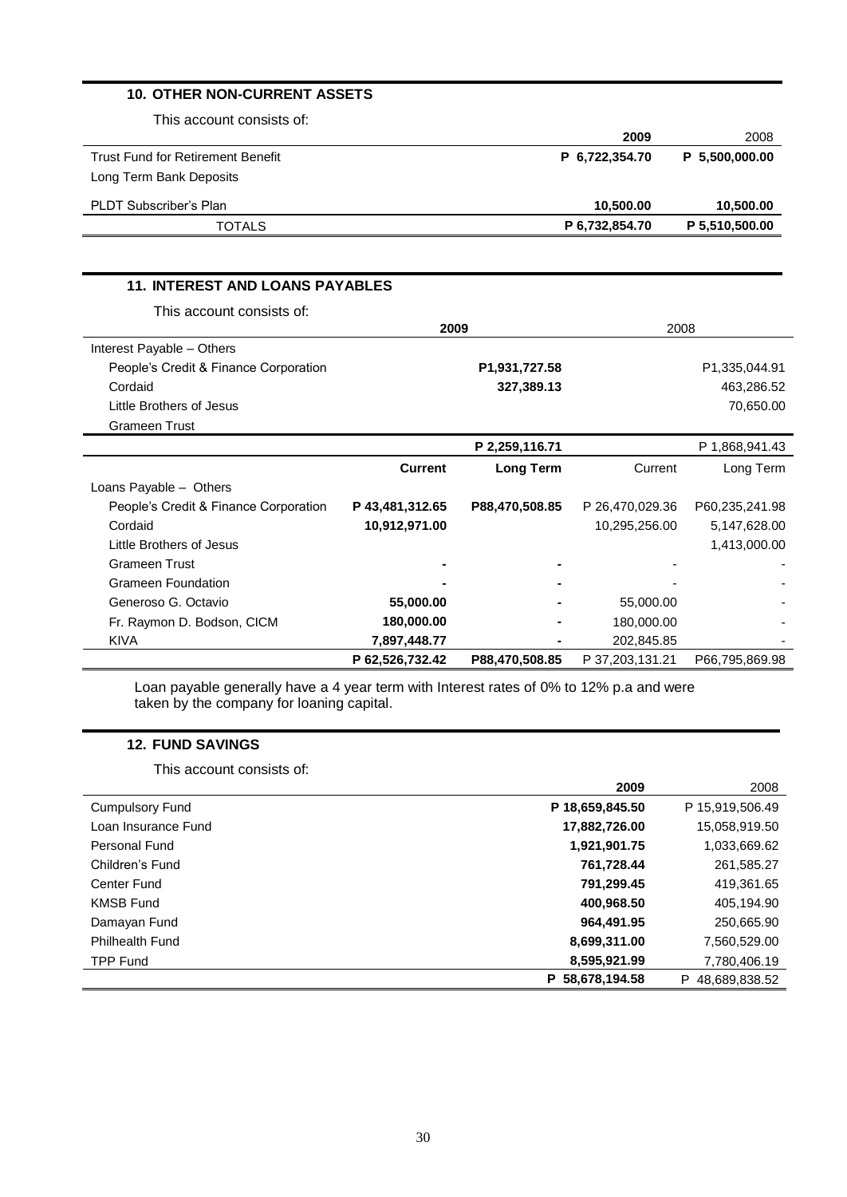## **10. OTHER NON-CURRENT ASSETS**

| This account consists of:                                           |                |                |
|---------------------------------------------------------------------|----------------|----------------|
|                                                                     | 2009           | 2008           |
| <b>Trust Fund for Retirement Benefit</b><br>Long Term Bank Deposits | P 6,722,354.70 | P 5,500,000.00 |
| PLDT Subscriber's Plan                                              | 10,500.00      | 10,500.00      |
| <b>TOTALS</b>                                                       | P 6,732,854.70 | P 5,510,500.00 |

## **11. INTEREST AND LOANS PAYABLES**

This account consists of:

|                                       | 2009           | 2008           |
|---------------------------------------|----------------|----------------|
| Interest Payable - Others             |                |                |
| People's Credit & Finance Corporation | P1.931.727.58  | P1,335,044.91  |
| Cordaid                               | 327,389.13     | 463,286.52     |
| Little Brothers of Jesus              |                | 70,650.00      |
| <b>Grameen Trust</b>                  |                |                |
|                                       | P 2,259,116.71 | P 1,868,941.43 |
|                                       |                |                |

|                                       | <b>Current</b>  | <b>Long Term</b> | Current            | Long Term      |
|---------------------------------------|-----------------|------------------|--------------------|----------------|
| Loans Payable - Others                |                 |                  |                    |                |
| People's Credit & Finance Corporation | P43,481,312.65  | P88,470,508.85   | P 26,470,029.36    | P60,235,241.98 |
| Cordaid                               | 10,912,971.00   |                  | 10,295,256.00      | 5,147,628.00   |
| Little Brothers of Jesus              |                 |                  |                    | 1,413,000.00   |
| <b>Grameen Trust</b>                  |                 |                  | ۰                  |                |
| Grameen Foundation                    |                 |                  |                    |                |
| Generoso G. Octavio                   | 55,000.00       | $\blacksquare$   | 55,000.00          |                |
| Fr. Raymon D. Bodson, CICM            | 180,000.00      | $\blacksquare$   | 180,000.00         |                |
| <b>KIVA</b>                           | 7,897,448.77    |                  | 202,845.85         |                |
|                                       | P 62,526,732.42 | P88,470,508.85   | P 37, 203, 131. 21 | P66,795,869.98 |

Loan payable generally have a 4 year term with Interest rates of 0% to 12% p.a and were taken by the company for loaning capital.

## **12. FUND SAVINGS**

This account consists of:

|                        | 2009            | 2008                |
|------------------------|-----------------|---------------------|
| <b>Cumpulsory Fund</b> | P 18,659,845.50 | P 15,919,506.49     |
| Loan Insurance Fund    | 17,882,726.00   | 15,058,919.50       |
| Personal Fund          | 1,921,901.75    | 1,033,669.62        |
| Children's Fund        | 761,728.44      | 261,585.27          |
| Center Fund            | 791,299.45      | 419,361.65          |
| <b>KMSB Fund</b>       | 400,968.50      | 405,194.90          |
| Damayan Fund           | 964,491.95      | 250,665.90          |
| <b>Philhealth Fund</b> | 8,699,311.00    | 7,560,529.00        |
| <b>TPP Fund</b>        | 8,595,921.99    | 7,780,406.19        |
|                        | P 58,678,194.58 | 48,689,838.52<br>P. |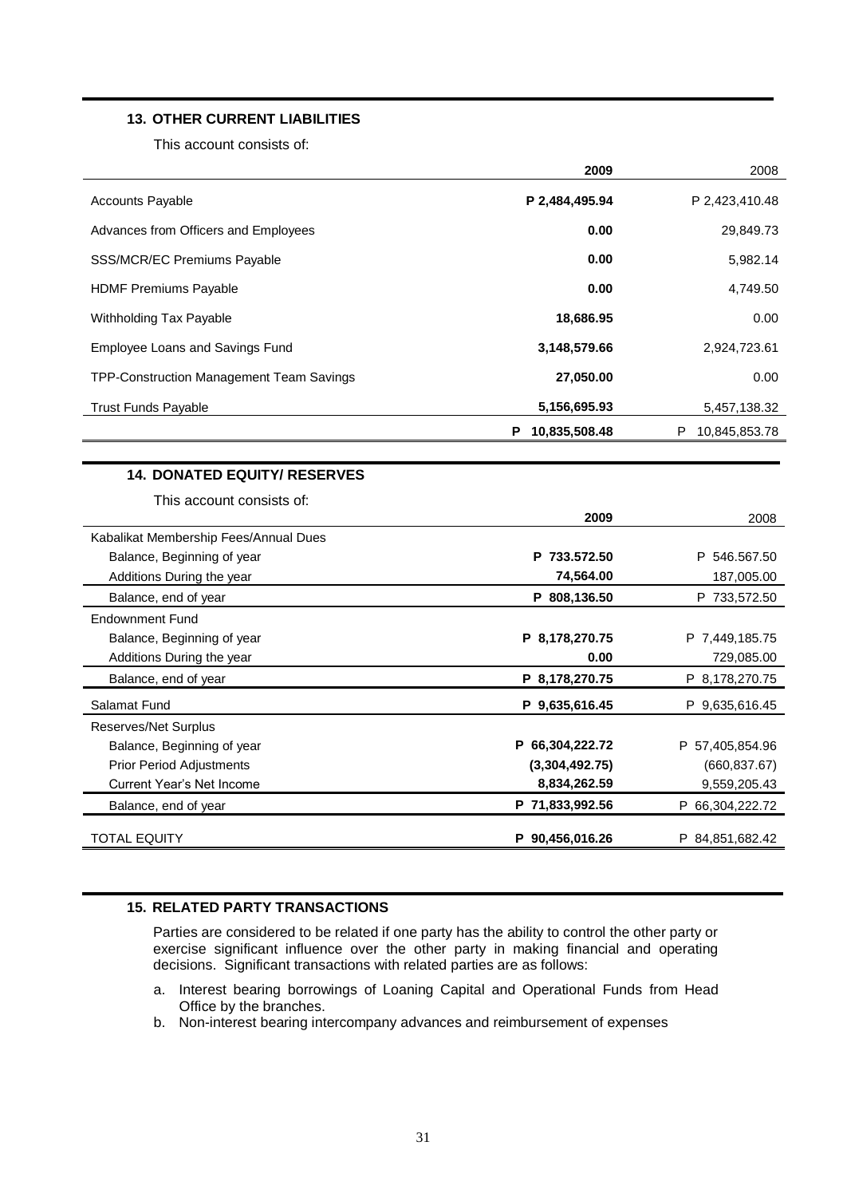## **13. OTHER CURRENT LIABILITIES**

This account consists of:

|                                                 | 2009               | 2008               |
|-------------------------------------------------|--------------------|--------------------|
| <b>Accounts Payable</b>                         | P 2,484,495.94     | P 2,423,410.48     |
| Advances from Officers and Employees            | 0.00               | 29,849.73          |
| SSS/MCR/EC Premiums Payable                     | 0.00               | 5,982.14           |
| <b>HDMF Premiums Payable</b>                    | 0.00               | 4,749.50           |
| Withholding Tax Payable                         | 18,686.95          | 0.00               |
| Employee Loans and Savings Fund                 | 3,148,579.66       | 2,924,723.61       |
| <b>TPP-Construction Management Team Savings</b> | 27,050.00          | 0.00               |
| <b>Trust Funds Payable</b>                      | 5,156,695.93       | 5,457,138.32       |
|                                                 | 10,835,508.48<br>P | P<br>10,845,853.78 |

### **14. DONATED EQUITY/ RESERVES**

This account consists of:

|                                       | 2009             | 2008              |
|---------------------------------------|------------------|-------------------|
| Kabalikat Membership Fees/Annual Dues |                  |                   |
| Balance, Beginning of year            | P.<br>733.572.50 | P 546,567.50      |
| Additions During the year             | 74,564.00        | 187,005.00        |
| Balance, end of year                  | 808,136.50<br>P  | P 733,572.50      |
| <b>Endownment Fund</b>                |                  |                   |
| Balance, Beginning of year            | P 8,178,270.75   | P 7,449,185.75    |
| Additions During the year             | 0.00             | 729,085.00        |
| Balance, end of year                  | P 8,178,270.75   | P 8,178,270.75    |
| Salamat Fund                          | P 9,635,616.45   | 9,635,616.45<br>P |
| Reserves/Net Surplus                  |                  |                   |
| Balance, Beginning of year            | P 66,304,222.72  | P 57,405,854.96   |
| <b>Prior Period Adjustments</b>       | (3,304,492.75)   | (660, 837.67)     |
| <b>Current Year's Net Income</b>      | 8,834,262.59     | 9,559,205.43      |
| Balance, end of year                  | P 71,833,992.56  | P 66,304,222.72   |
| TOTAL EQUITY                          | P 90,456,016.26  | P 84,851,682.42   |

### **15. RELATED PARTY TRANSACTIONS**

Parties are considered to be related if one party has the ability to control the other party or exercise significant influence over the other party in making financial and operating decisions. Significant transactions with related parties are as follows:

- a. Interest bearing borrowings of Loaning Capital and Operational Funds from Head Office by the branches.
- b. Non-interest bearing intercompany advances and reimbursement of expenses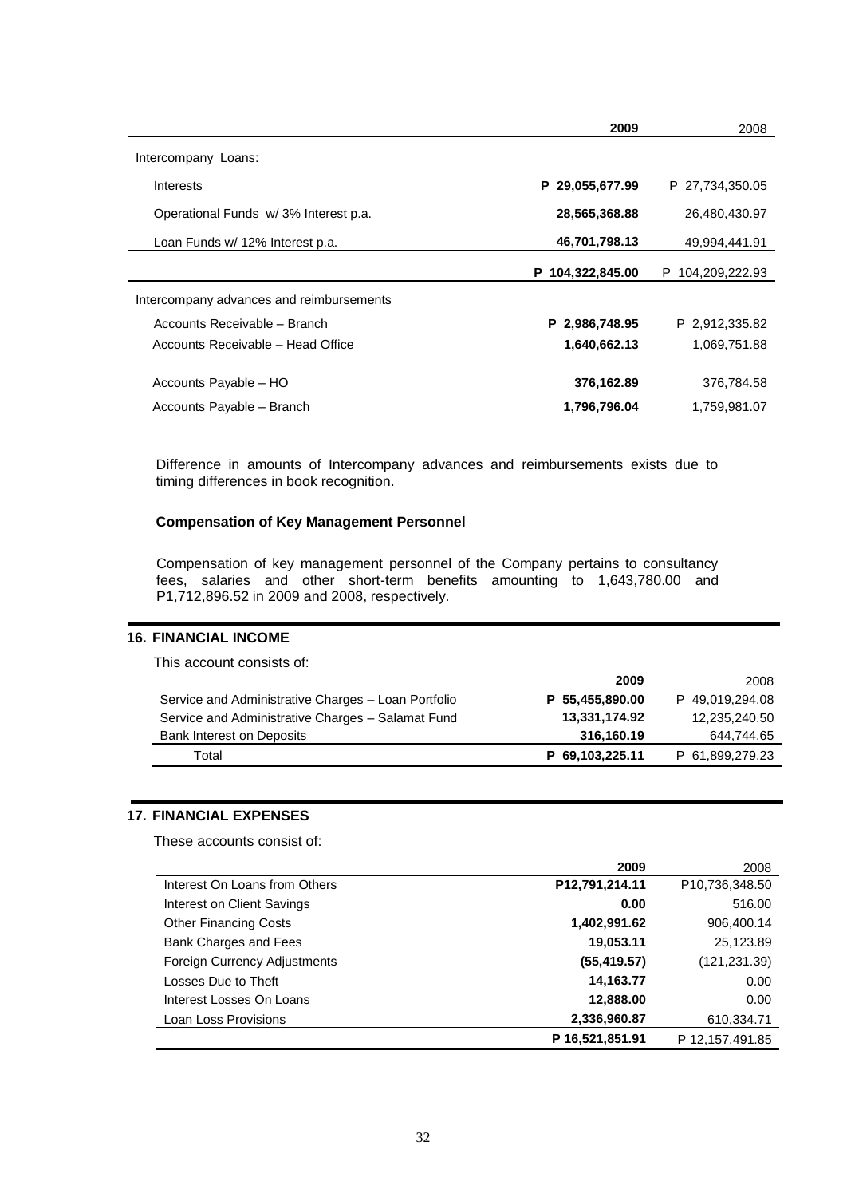|                                          | 2009                | 2008             |
|------------------------------------------|---------------------|------------------|
| Intercompany Loans:                      |                     |                  |
| <b>Interests</b>                         | 29,055,677.99<br>P. | P 27,734,350.05  |
| Operational Funds w/3% Interest p.a.     | 28,565,368.88       | 26,480,430.97    |
| Loan Funds w/ 12% Interest p.a.          | 46,701,798.13       | 49,994,441.91    |
|                                          | P 104,322,845.00    | P 104,209,222.93 |
| Intercompany advances and reimbursements |                     |                  |
| Accounts Receivable - Branch             | P 2,986,748.95      | P 2,912,335.82   |
| Accounts Receivable - Head Office        | 1,640,662.13        | 1,069,751.88     |
| Accounts Payable - HO                    | 376,162.89          | 376,784.58       |
| Accounts Payable - Branch                | 1,796,796.04        | 1,759,981.07     |

Difference in amounts of Intercompany advances and reimbursements exists due to timing differences in book recognition.

### **Compensation of Key Management Personnel**

Compensation of key management personnel of the Company pertains to consultancy fees, salaries and other short-term benefits amounting to 1,643,780.00 and P1,712,896.52 in 2009 and 2008, respectively.

## **16. FINANCIAL INCOME**

This account consists of:

|                                                     | 2009            | 2008            |
|-----------------------------------------------------|-----------------|-----------------|
| Service and Administrative Charges - Loan Portfolio | P 55,455,890.00 | P 49,019,294.08 |
| Service and Administrative Charges - Salamat Fund   | 13,331,174.92   | 12,235,240.50   |
| <b>Bank Interest on Deposits</b>                    | 316.160.19      | 644,744.65      |
| Total                                               | P 69,103,225.11 | P 61,899,279.23 |

#### **17. FINANCIAL EXPENSES**

These accounts consist of:

|                               | 2009            | 2008                        |
|-------------------------------|-----------------|-----------------------------|
| Interest On Loans from Others | P12,791,214.11  | P <sub>10,736</sub> ,348.50 |
| Interest on Client Savings    | 0.00            | 516.00                      |
| <b>Other Financing Costs</b>  | 1,402,991.62    | 906,400.14                  |
| Bank Charges and Fees         | 19,053.11       | 25,123.89                   |
| Foreign Currency Adjustments  | (55, 419.57)    | (121, 231.39)               |
| Losses Due to Theft           | 14,163.77       | 0.00                        |
| Interest Losses On Loans      | 12,888.00       | 0.00                        |
| Loan Loss Provisions          | 2,336,960.87    | 610,334.71                  |
|                               | P 16,521,851.91 | P 12,157,491.85             |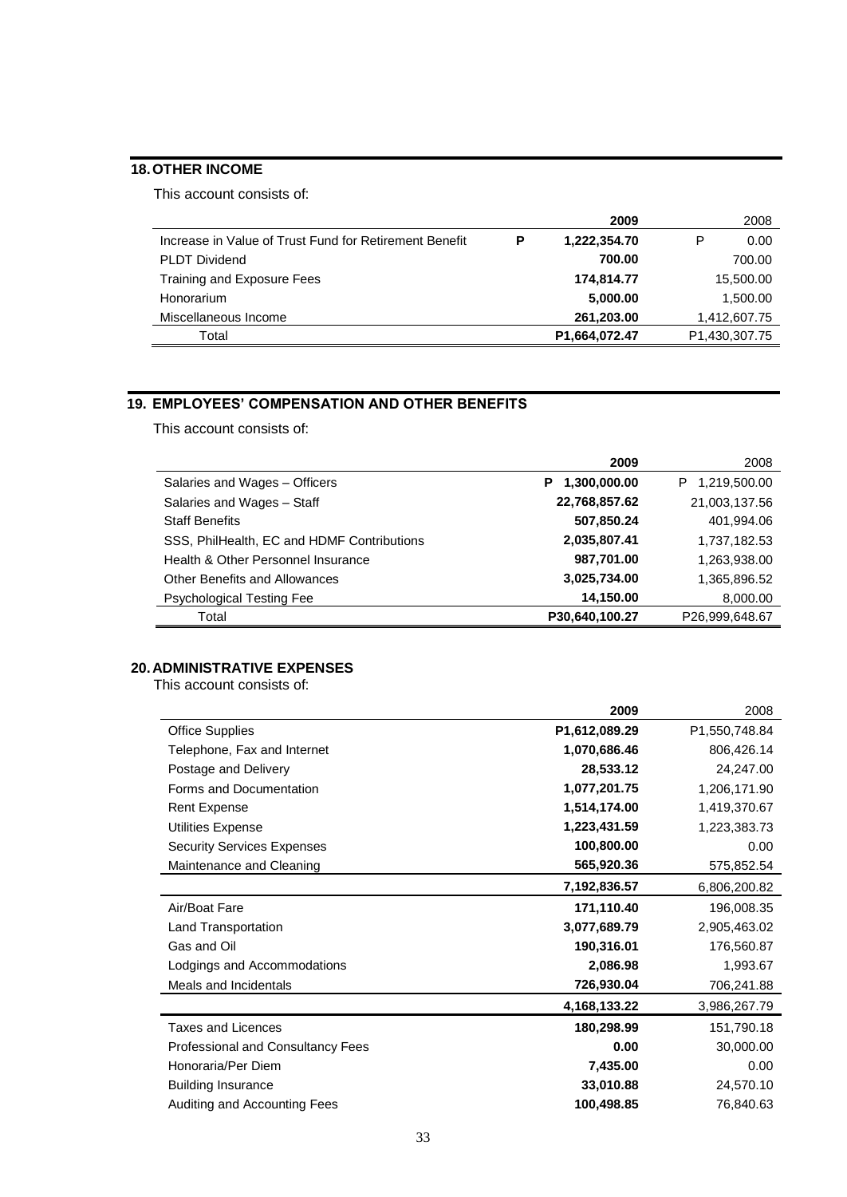## **18.OTHER INCOME**

This account consists of:

|                                                        |   | 2009          |   | 2008                       |
|--------------------------------------------------------|---|---------------|---|----------------------------|
| Increase in Value of Trust Fund for Retirement Benefit | P | 1,222,354.70  | P | 0.00                       |
| <b>PLDT Dividend</b>                                   |   | 700.00        |   | 700.00                     |
| Training and Exposure Fees                             |   | 174,814.77    |   | 15,500.00                  |
| Honorarium                                             |   | 5,000.00      |   | 1,500.00                   |
| Miscellaneous Income                                   |   | 261,203.00    |   | 1,412,607.75               |
| Total                                                  |   | P1.664,072.47 |   | P <sub>1</sub> ,430,307.75 |

## **19. EMPLOYEES' COMPENSATION AND OTHER BENEFITS**

This account consists of:

| Salaries and Wages - Officers<br>1,300,000.00<br>P<br>Salaries and Wages - Staff<br>22,768,857.62<br><b>Staff Benefits</b><br>507,850.24<br>SSS, PhilHealth, EC and HDMF Contributions<br>2,035,807.41<br>Health & Other Personnel Insurance<br>987,701.00<br>Other Benefits and Allowances<br>3,025,734.00<br><b>Psychological Testing Fee</b><br>14,150.00 |       | 2009           | 2008           |
|--------------------------------------------------------------------------------------------------------------------------------------------------------------------------------------------------------------------------------------------------------------------------------------------------------------------------------------------------------------|-------|----------------|----------------|
|                                                                                                                                                                                                                                                                                                                                                              |       |                | P 1,219,500.00 |
|                                                                                                                                                                                                                                                                                                                                                              |       |                | 21,003,137.56  |
|                                                                                                                                                                                                                                                                                                                                                              |       |                | 401,994.06     |
|                                                                                                                                                                                                                                                                                                                                                              |       |                | 1,737,182.53   |
|                                                                                                                                                                                                                                                                                                                                                              |       |                | 1,263,938.00   |
|                                                                                                                                                                                                                                                                                                                                                              |       |                | 1,365,896.52   |
|                                                                                                                                                                                                                                                                                                                                                              |       |                | 8,000.00       |
|                                                                                                                                                                                                                                                                                                                                                              | Total | P30,640,100.27 | P26,999,648.67 |

## **20.ADMINISTRATIVE EXPENSES**

This account consists of:

|                                          | 2009          | 2008          |
|------------------------------------------|---------------|---------------|
| <b>Office Supplies</b>                   | P1,612,089.29 | P1,550,748.84 |
| Telephone, Fax and Internet              | 1,070,686.46  | 806,426.14    |
| Postage and Delivery                     | 28,533.12     | 24,247.00     |
| Forms and Documentation                  | 1,077,201.75  | 1,206,171.90  |
| <b>Rent Expense</b>                      | 1,514,174.00  | 1,419,370.67  |
| Utilities Expense                        | 1,223,431.59  | 1,223,383.73  |
| <b>Security Services Expenses</b>        | 100,800.00    | 0.00          |
| Maintenance and Cleaning                 | 565,920.36    | 575,852.54    |
|                                          | 7,192,836.57  | 6,806,200.82  |
| Air/Boat Fare                            | 171,110.40    | 196,008.35    |
| Land Transportation                      | 3,077,689.79  | 2,905,463.02  |
| Gas and Oil                              | 190,316.01    | 176,560.87    |
| Lodgings and Accommodations              | 2,086.98      | 1,993.67      |
| Meals and Incidentals                    | 726,930.04    | 706,241.88    |
|                                          | 4,168,133.22  | 3,986,267.79  |
| Taxes and Licences                       | 180,298.99    | 151,790.18    |
| <b>Professional and Consultancy Fees</b> | 0.00          | 30,000.00     |
| Honoraria/Per Diem                       | 7,435.00      | 0.00          |
| <b>Building Insurance</b>                | 33,010.88     | 24,570.10     |
| Auditing and Accounting Fees             | 100,498.85    | 76,840.63     |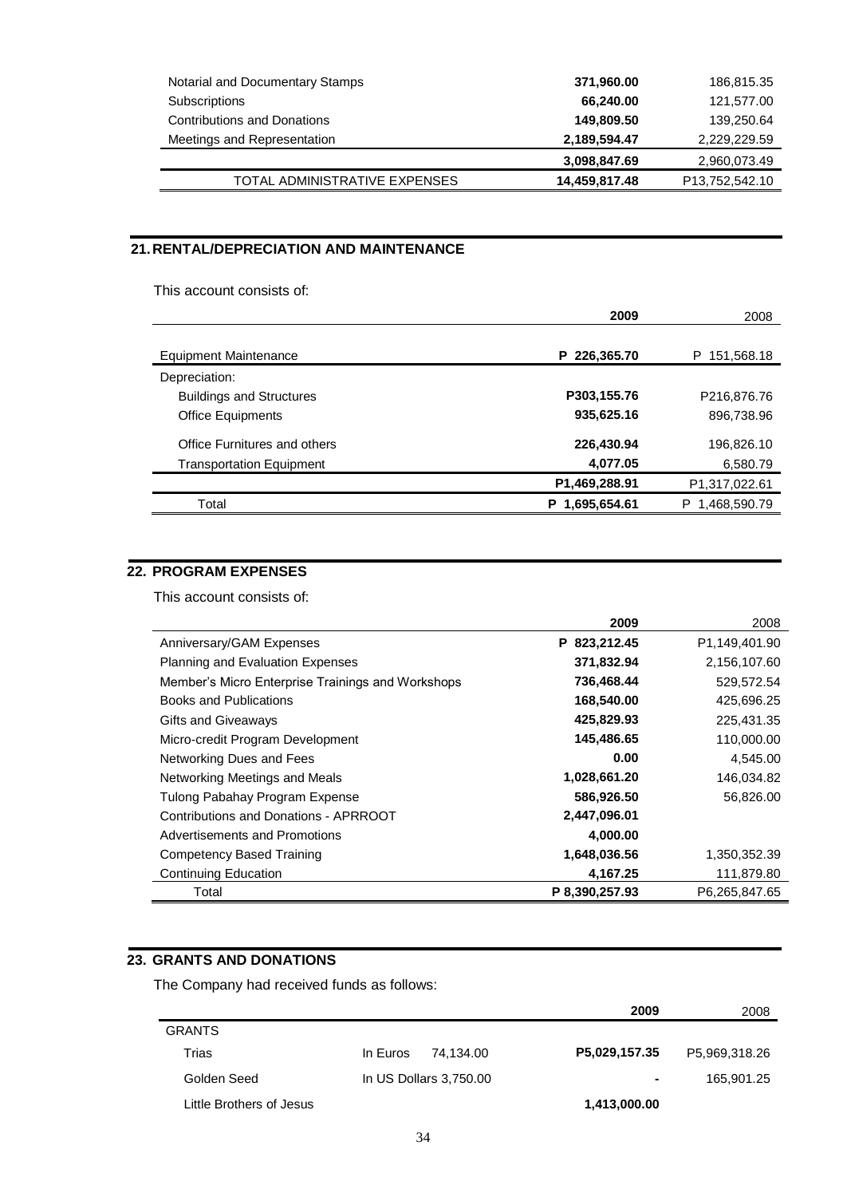| TOTAL ADMINISTRATIVE EXPENSES      | 14,459,817.48 | P <sub>13</sub> , 752, 542. 10 |
|------------------------------------|---------------|--------------------------------|
|                                    | 3,098,847.69  | 2,960,073.49                   |
| Meetings and Representation        | 2,189,594.47  | 2,229,229.59                   |
| <b>Contributions and Donations</b> | 149,809.50    | 139,250.64                     |
| Subscriptions                      | 66,240.00     | 121,577.00                     |
| Notarial and Documentary Stamps    | 371,960.00    | 186,815.35                     |

## **21.RENTAL/DEPRECIATION AND MAINTENANCE**

This account consists of:

|                                 | 2009             | 2008            |
|---------------------------------|------------------|-----------------|
|                                 |                  |                 |
| <b>Equipment Maintenance</b>    | 226,365.70<br>P. | 151,568.18<br>P |
| Depreciation:                   |                  |                 |
| <b>Buildings and Structures</b> | P303,155.76      | P216,876.76     |
| <b>Office Equipments</b>        | 935,625.16       | 896.738.96      |
| Office Furnitures and others    | 226,430.94       | 196.826.10      |
| <b>Transportation Equipment</b> | 4,077.05         | 6,580.79        |
|                                 | P1,469,288.91    | P1,317,022.61   |
| Total                           | P 1,695,654.61   | P 1,468,590.79  |
|                                 |                  |                 |

## **22. PROGRAM EXPENSES**

This account consists of:

|                                                   | 2009           | 2008          |
|---------------------------------------------------|----------------|---------------|
| Anniversary/GAM Expenses                          | P 823,212.45   | P1,149,401.90 |
| <b>Planning and Evaluation Expenses</b>           | 371,832.94     | 2,156,107.60  |
| Member's Micro Enterprise Trainings and Workshops | 736,468.44     | 529,572.54    |
| <b>Books and Publications</b>                     | 168,540.00     | 425,696.25    |
| Gifts and Giveaways                               | 425,829.93     | 225.431.35    |
| Micro-credit Program Development                  | 145,486.65     | 110,000.00    |
| Networking Dues and Fees                          | 0.00           | 4,545.00      |
| Networking Meetings and Meals                     | 1,028,661.20   | 146,034.82    |
| Tulong Pabahay Program Expense                    | 586,926.50     | 56,826.00     |
| Contributions and Donations - APRROOT             | 2,447,096.01   |               |
| Advertisements and Promotions                     | 4,000.00       |               |
| <b>Competency Based Training</b>                  | 1,648,036.56   | 1,350,352.39  |
| <b>Continuing Education</b>                       | 4,167.25       | 111,879.80    |
| Total                                             | P 8,390,257.93 | P6,265,847.65 |

## **23. GRANTS AND DONATIONS**

The Company had received funds as follows:

|                          |                        | 2009          | 2008          |
|--------------------------|------------------------|---------------|---------------|
| <b>GRANTS</b>            |                        |               |               |
| Trias                    | 74.134.00<br>In Euros  | P5.029.157.35 | P5,969,318.26 |
| Golden Seed              | In US Dollars 3,750.00 | ۰             | 165,901.25    |
| Little Brothers of Jesus |                        | 1,413,000.00  |               |